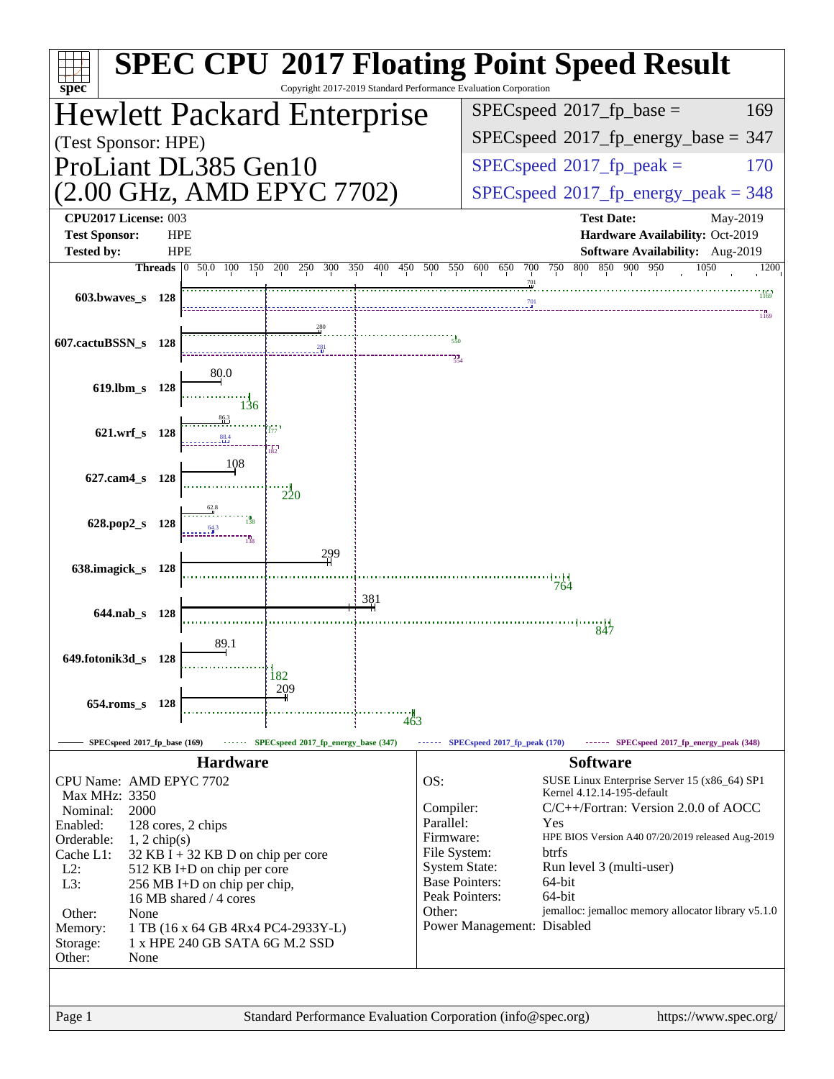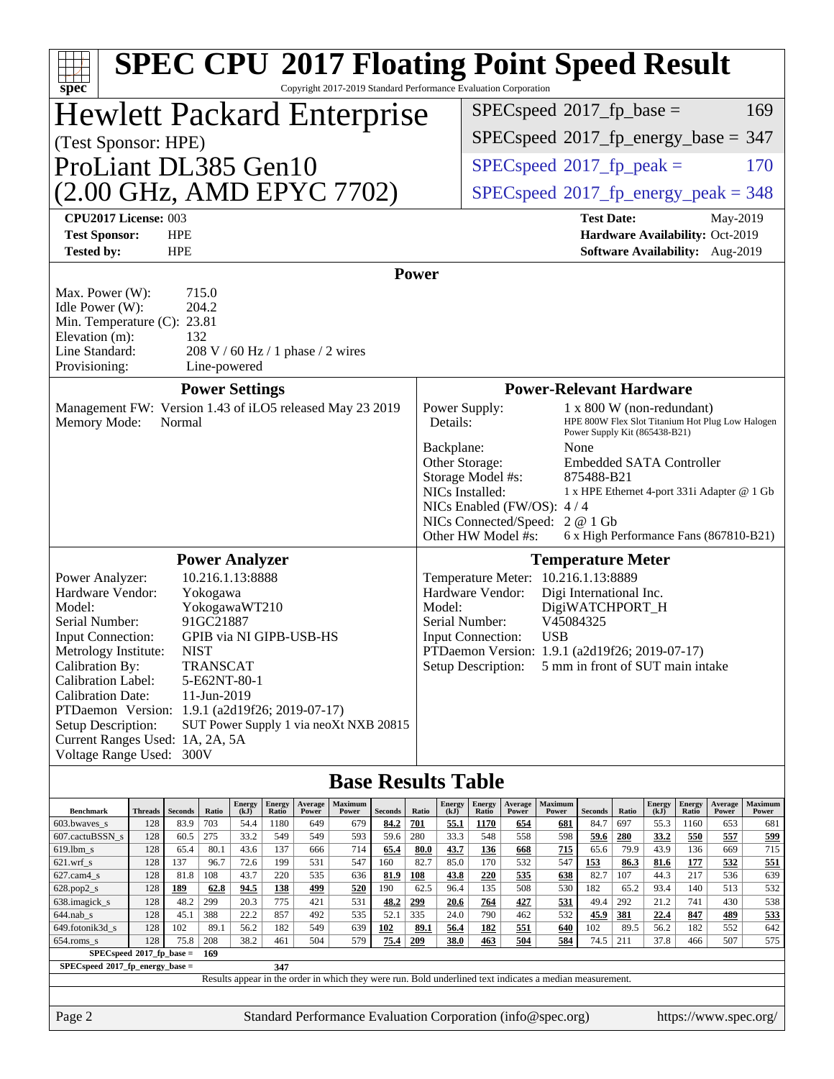| <b>SPEC CPU®2017 Floating Point Speed Result</b>                                                              |                                                                                                                                                                                                     |                          |             |                       |                 |                         |                                                                                                          |                |                    |                                                                                                   |                        |                  |                                                     |                                                            |             |                       |                        |                                                                    |                                                  |
|---------------------------------------------------------------------------------------------------------------|-----------------------------------------------------------------------------------------------------------------------------------------------------------------------------------------------------|--------------------------|-------------|-----------------------|-----------------|-------------------------|----------------------------------------------------------------------------------------------------------|----------------|--------------------|---------------------------------------------------------------------------------------------------|------------------------|------------------|-----------------------------------------------------|------------------------------------------------------------|-------------|-----------------------|------------------------|--------------------------------------------------------------------|--------------------------------------------------|
| Copyright 2017-2019 Standard Performance Evaluation Corporation<br>spec®<br><b>Hewlett Packard Enterprise</b> |                                                                                                                                                                                                     |                          |             |                       |                 |                         |                                                                                                          |                |                    |                                                                                                   |                        |                  |                                                     |                                                            |             | 169                   |                        |                                                                    |                                                  |
|                                                                                                               |                                                                                                                                                                                                     |                          |             |                       |                 |                         |                                                                                                          |                |                    | $SPEC speed^{\circ}2017$ fp base =<br>$SPEC speed^{\circ}2017\_fp\_energy\_base = 347$            |                        |                  |                                                     |                                                            |             |                       |                        |                                                                    |                                                  |
| (Test Sponsor: HPE)                                                                                           |                                                                                                                                                                                                     |                          |             |                       |                 |                         |                                                                                                          |                |                    |                                                                                                   |                        |                  |                                                     |                                                            |             |                       |                        |                                                                    |                                                  |
| ProLiant DL385 Gen10                                                                                          |                                                                                                                                                                                                     |                          |             |                       |                 |                         |                                                                                                          |                |                    |                                                                                                   |                        |                  | $SPEC speed^{\circ}2017$ _fp_peak =                 |                                                            |             |                       |                        |                                                                    | 170                                              |
| (2.00 GHz, AMD EPYC 7702)                                                                                     |                                                                                                                                                                                                     |                          |             |                       |                 |                         |                                                                                                          |                |                    |                                                                                                   |                        |                  | $SPEC speed$ <sup>®</sup> 2017_fp_energy_peak = 348 |                                                            |             |                       |                        |                                                                    |                                                  |
| CPU2017 License: 003                                                                                          |                                                                                                                                                                                                     |                          |             |                       |                 |                         |                                                                                                          |                |                    |                                                                                                   |                        |                  |                                                     | <b>Test Date:</b>                                          |             |                       |                        | May-2019                                                           |                                                  |
| <b>Test Sponsor:</b><br><b>Tested by:</b>                                                                     |                                                                                                                                                                                                     | <b>HPE</b><br><b>HPE</b> |             |                       |                 |                         |                                                                                                          |                |                    |                                                                                                   |                        |                  |                                                     |                                                            |             |                       |                        | Hardware Availability: Oct-2019<br>Software Availability: Aug-2019 |                                                  |
|                                                                                                               |                                                                                                                                                                                                     |                          |             |                       |                 |                         |                                                                                                          |                |                    |                                                                                                   |                        |                  |                                                     |                                                            |             |                       |                        |                                                                    |                                                  |
| Provisioning:                                                                                                 | <b>Power</b><br>715.0<br>Max. Power (W):<br>204.2<br>Idle Power (W):<br>Min. Temperature (C): 23.81<br>Elevation (m):<br>132<br>Line Standard:<br>208 V / 60 Hz / 1 phase / 2 wires<br>Line-powered |                          |             |                       |                 |                         |                                                                                                          |                |                    |                                                                                                   |                        |                  |                                                     |                                                            |             |                       |                        |                                                                    |                                                  |
|                                                                                                               |                                                                                                                                                                                                     |                          |             | <b>Power Settings</b> |                 |                         |                                                                                                          |                |                    |                                                                                                   |                        |                  | <b>Power-Relevant Hardware</b>                      |                                                            |             |                       |                        |                                                                    |                                                  |
| Management FW: Version 1.43 of iLO5 released May 23 2019<br>Memory Mode:                                      |                                                                                                                                                                                                     | Normal                   |             |                       |                 |                         |                                                                                                          |                |                    | Power Supply:<br>Details:                                                                         |                        |                  |                                                     | 1 x 800 W (non-redundant)<br>Power Supply Kit (865438-B21) |             |                       |                        |                                                                    | HPE 800W Flex Slot Titanium Hot Plug Low Halogen |
|                                                                                                               |                                                                                                                                                                                                     |                          |             |                       |                 |                         |                                                                                                          |                |                    | Backplane:                                                                                        |                        |                  |                                                     | None<br><b>Embedded SATA Controller</b>                    |             |                       |                        |                                                                    |                                                  |
|                                                                                                               |                                                                                                                                                                                                     |                          |             |                       |                 |                         |                                                                                                          |                |                    | Other Storage:<br>Storage Model #s:                                                               |                        |                  |                                                     | 875488-B21                                                 |             |                       |                        |                                                                    |                                                  |
|                                                                                                               |                                                                                                                                                                                                     |                          |             |                       |                 |                         |                                                                                                          |                |                    | NICs Installed:<br>1 x HPE Ethernet 4-port 331i Adapter @ 1 Gb<br>NICs Enabled (FW/OS): $4/4$     |                        |                  |                                                     |                                                            |             |                       |                        |                                                                    |                                                  |
|                                                                                                               |                                                                                                                                                                                                     |                          |             |                       |                 |                         |                                                                                                          |                |                    | NICs Connected/Speed:<br>2 @ 1 Gb<br>Other HW Model #s:<br>6 x High Performance Fans (867810-B21) |                        |                  |                                                     |                                                            |             |                       |                        |                                                                    |                                                  |
|                                                                                                               |                                                                                                                                                                                                     |                          |             | <b>Power Analyzer</b> |                 |                         |                                                                                                          |                |                    |                                                                                                   |                        |                  |                                                     |                                                            |             |                       |                        |                                                                    |                                                  |
| Power Analyzer:                                                                                               |                                                                                                                                                                                                     |                          |             | 10.216.1.13:8888      |                 |                         |                                                                                                          |                |                    | <b>Temperature Meter</b><br>Temperature Meter: 10.216.1.13:8889                                   |                        |                  |                                                     |                                                            |             |                       |                        |                                                                    |                                                  |
| Hardware Vendor:<br>Model:                                                                                    |                                                                                                                                                                                                     |                          | Yokogawa    | YokogawaWT210         |                 |                         |                                                                                                          |                |                    | Hardware Vendor:<br>Digi International Inc.<br>Model:<br>DigiWATCHPORT_H                          |                        |                  |                                                     |                                                            |             |                       |                        |                                                                    |                                                  |
| Serial Number:                                                                                                |                                                                                                                                                                                                     |                          | 91GC21887   |                       |                 |                         |                                                                                                          |                |                    | V45084325<br>Serial Number:                                                                       |                        |                  |                                                     |                                                            |             |                       |                        |                                                                    |                                                  |
| Input Connection:<br>Metrology Institute:                                                                     |                                                                                                                                                                                                     | <b>NIST</b>              |             |                       |                 | GPIB via NI GIPB-USB-HS |                                                                                                          |                |                    | <b>USB</b><br><b>Input Connection:</b><br>PTDaemon Version: 1.9.1 (a2d19f26; 2019-07-17)          |                        |                  |                                                     |                                                            |             |                       |                        |                                                                    |                                                  |
| Calibration By:                                                                                               |                                                                                                                                                                                                     |                          | TRANSCAT    |                       |                 |                         |                                                                                                          |                |                    | Setup Description:<br>5 mm in front of SUT main intake                                            |                        |                  |                                                     |                                                            |             |                       |                        |                                                                    |                                                  |
| <b>Calibration Label:</b>                                                                                     |                                                                                                                                                                                                     |                          |             | 5-E62NT-80-1          |                 |                         |                                                                                                          |                |                    |                                                                                                   |                        |                  |                                                     |                                                            |             |                       |                        |                                                                    |                                                  |
| <b>Calibration Date:</b><br>PTDaemon <sup>™</sup> Version: 1.9.1 (a2d19f26; 2019-07-17)                       |                                                                                                                                                                                                     |                          | 11-Jun-2019 |                       |                 |                         |                                                                                                          |                |                    |                                                                                                   |                        |                  |                                                     |                                                            |             |                       |                        |                                                                    |                                                  |
| Setup Description:                                                                                            |                                                                                                                                                                                                     |                          |             |                       |                 |                         | SUT Power Supply 1 via neoXt NXB 20815                                                                   |                |                    |                                                                                                   |                        |                  |                                                     |                                                            |             |                       |                        |                                                                    |                                                  |
| Current Ranges Used: 1A, 2A, 5A                                                                               |                                                                                                                                                                                                     |                          |             |                       |                 |                         |                                                                                                          |                |                    |                                                                                                   |                        |                  |                                                     |                                                            |             |                       |                        |                                                                    |                                                  |
|                                                                                                               | Voltage Range Used: 300V<br><b>Base Results Table</b>                                                                                                                                               |                          |             |                       |                 |                         |                                                                                                          |                |                    |                                                                                                   |                        |                  |                                                     |                                                            |             |                       |                        |                                                                    |                                                  |
| <b>Benchmark</b>                                                                                              | Threads                                                                                                                                                                                             | Seconds                  | Ratio       | <b>Energy</b><br>(kJ) | Energy<br>Ratio | Average<br>Power        | Maximum<br>Power                                                                                         | <b>Seconds</b> | Ratio              | <b>Energy</b><br>(kJ)                                                                             | <b>Energy</b><br>Ratio | Average<br>Power | Maximum<br>Power                                    | Seconds                                                    | Ratio       | <b>Energy</b><br>(kJ) | <b>Energy</b><br>Ratio | Average<br>Power                                                   | <b>Maximum</b><br>Power                          |
| 603.bwaves_s<br>607.cactuBSSN_s                                                                               | 128<br>128                                                                                                                                                                                          | 83.9<br>60.5             | 703<br>275  | 54.4<br>33.2          | 1180<br>549     | 649<br>549              | 679<br>593                                                                                               | 84.2<br>59.6   | 701<br>280         | 55.1<br>33.3                                                                                      | <b>1170</b><br>548     | 654<br>558       | <u>681</u><br>598                                   | 84.7<br>59.6                                               | 697<br>280  | 55.3<br>33.2          | 1160<br>550            | 653<br>557                                                         | 681<br>599                                       |
| $619.$ lbm_s                                                                                                  | 128                                                                                                                                                                                                 | 65.4                     | 80.1        | 43.6                  | 137             | 666                     | 714                                                                                                      | 65.4           | 80.0               | 43.7                                                                                              | <b>136</b>             | 668              | 715                                                 | 65.6                                                       | 79.9        | 43.9                  | 136                    | 669                                                                | 715                                              |
| $621.wrf$ <sub>S</sub><br>$627.cam4_s$                                                                        | 128<br>128                                                                                                                                                                                          | 137<br>81.8              | 96.7<br>108 | 72.6<br>43.7          | 199<br>220      | 531<br>535              | 547<br>636                                                                                               | 160<br>81.9    | 82.7<br><b>108</b> | 85.0<br>43.8                                                                                      | 170<br>220             | 532<br>535       | 547<br>638                                          | 153<br>82.7                                                | 86.3<br>107 | 81.6<br>44.3          | <u>177</u><br>217      | 532<br>536                                                         | 551<br>639                                       |
| $628.pop2_s$                                                                                                  | 128                                                                                                                                                                                                 | 189                      | 62.8        | 94.5                  | <b>138</b>      | 499                     | 520                                                                                                      | 190            | 62.5               | 96.4                                                                                              | 135                    | 508              | 530                                                 | 182                                                        | 65.2        | 93.4                  | 140                    | 513                                                                | 532                                              |
| 638.imagick_s                                                                                                 | 128                                                                                                                                                                                                 | 48.2                     | 299<br>388  | 20.3<br>22.2          | 775<br>857      | 421<br>492              | 531                                                                                                      | 48.2<br>52.1   | 299<br>335         | 20.6                                                                                              | 764<br>790             | 427<br>462       | 531                                                 | 49.4                                                       | 292         | 21.2                  | 741                    | 430                                                                | 538                                              |
| $644.nab_s$<br>649.fotonik3d_s                                                                                | 128<br>128                                                                                                                                                                                          | 45.1<br>102              | 89.1        | 56.2                  | 182             | 549                     | 535<br>639                                                                                               | 102            | 89.1               | 24.0<br>56.4                                                                                      | <u>182</u>             | 551              | 532<br>640                                          | 45.9<br>102                                                | 381<br>89.5 | 22.4<br>56.2          | 847<br>182             | 489<br>552                                                         | 533<br>642                                       |
| $654$ .roms_s                                                                                                 | 128                                                                                                                                                                                                 | 75.8                     | 208         | 38.2                  | 461             | 504                     | 579                                                                                                      | 75.4           | 209                | 38.0                                                                                              | 463                    | 504              | 584                                                 | 74.5                                                       | 211         | 37.8                  | 466                    | 507                                                                | 575                                              |
|                                                                                                               | SPECspeed*2017_fp_base =<br>169<br>SPECspeed*2017_fp_energy_base =<br>347                                                                                                                           |                          |             |                       |                 |                         |                                                                                                          |                |                    |                                                                                                   |                        |                  |                                                     |                                                            |             |                       |                        |                                                                    |                                                  |
|                                                                                                               |                                                                                                                                                                                                     |                          |             |                       |                 |                         | Results appear in the order in which they were run. Bold underlined text indicates a median measurement. |                |                    |                                                                                                   |                        |                  |                                                     |                                                            |             |                       |                        |                                                                    |                                                  |
| Page 2                                                                                                        | Standard Performance Evaluation Corporation (info@spec.org)<br>https://www.spec.org/                                                                                                                |                          |             |                       |                 |                         |                                                                                                          |                |                    |                                                                                                   |                        |                  |                                                     |                                                            |             |                       |                        |                                                                    |                                                  |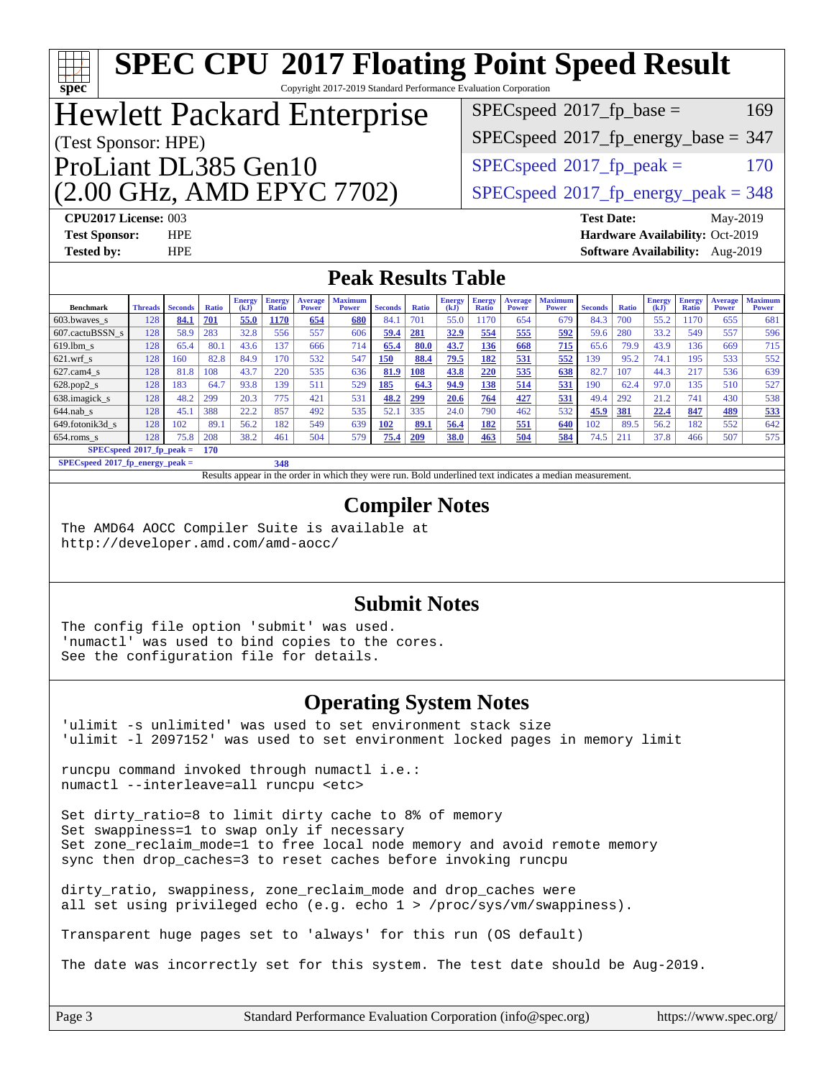| ĦТ<br>$spec^*$                                                                                                                                                                                                                                                                                                                                                                                                                                                                                                                                            |                                                                                                                                |                          |                     |               |                      |                     | <b>SPEC CPU®2017 Floating Point Speed Result</b>            |                        |                     |              |                      |                     |                     |                        |              |               |               |                                 |                       |
|-----------------------------------------------------------------------------------------------------------------------------------------------------------------------------------------------------------------------------------------------------------------------------------------------------------------------------------------------------------------------------------------------------------------------------------------------------------------------------------------------------------------------------------------------------------|--------------------------------------------------------------------------------------------------------------------------------|--------------------------|---------------------|---------------|----------------------|---------------------|-------------------------------------------------------------|------------------------|---------------------|--------------|----------------------|---------------------|---------------------|------------------------|--------------|---------------|---------------|---------------------------------|-----------------------|
| Copyright 2017-2019 Standard Performance Evaluation Corporation<br>$SPEC speed^{\circ}2017$ _fp_base =<br>169<br><b>Hewlett Packard Enterprise</b>                                                                                                                                                                                                                                                                                                                                                                                                        |                                                                                                                                |                          |                     |               |                      |                     |                                                             |                        |                     |              |                      |                     |                     |                        |              |               |               |                                 |                       |
| $SPEC speed$ <sup>®</sup> 2017_fp_energy_base = 347<br>(Test Sponsor: HPE)                                                                                                                                                                                                                                                                                                                                                                                                                                                                                |                                                                                                                                |                          |                     |               |                      |                     |                                                             |                        |                     |              |                      |                     |                     |                        |              |               |               |                                 |                       |
| ProLiant DL385 Gen10<br>$SPEC speed^{\circ}2017$ _fp_peak =<br>170                                                                                                                                                                                                                                                                                                                                                                                                                                                                                        |                                                                                                                                |                          |                     |               |                      |                     |                                                             |                        |                     |              |                      |                     |                     |                        |              |               |               |                                 |                       |
|                                                                                                                                                                                                                                                                                                                                                                                                                                                                                                                                                           |                                                                                                                                |                          |                     |               |                      |                     |                                                             |                        |                     |              |                      |                     |                     |                        |              |               |               |                                 |                       |
|                                                                                                                                                                                                                                                                                                                                                                                                                                                                                                                                                           | (2.00 GHz, AMD EPYC 7702)<br>$SPEC speed@2017_fp\_energy\_peak = 348$<br>CPU2017 License: 003<br><b>Test Date:</b><br>May-2019 |                          |                     |               |                      |                     |                                                             |                        |                     |              |                      |                     |                     |                        |              |               |               |                                 |                       |
| <b>Test Sponsor:</b><br><b>Tested by:</b>                                                                                                                                                                                                                                                                                                                                                                                                                                                                                                                 |                                                                                                                                | <b>HPE</b><br><b>HPE</b> |                     |               |                      |                     |                                                             |                        |                     |              |                      |                     |                     |                        |              |               |               | Hardware Availability: Oct-2019 |                       |
| Software Availability: Aug-2019<br><b>Peak Results Table</b>                                                                                                                                                                                                                                                                                                                                                                                                                                                                                              |                                                                                                                                |                          |                     |               |                      |                     |                                                             |                        |                     |              |                      |                     |                     |                        |              |               |               |                                 |                       |
|                                                                                                                                                                                                                                                                                                                                                                                                                                                                                                                                                           |                                                                                                                                |                          |                     | Energy $(kJ)$ | <b>Energy</b>        | <b>Average</b>      | <b>Maximum</b>                                              |                        |                     | Energy       | <b>Energy</b>        | <b>Average</b>      | <b>Maximum</b>      |                        |              | <b>Energy</b> | <b>Energy</b> | <b>Average</b>                  | <b>Maximum</b>        |
| <b>Benchmark</b><br>603.bwaves_s                                                                                                                                                                                                                                                                                                                                                                                                                                                                                                                          | <b>Threads</b><br>128                                                                                                          | <b>Seconds</b><br>84.1   | <b>Ratio</b><br>701 | 55.0          | Ratio<br><b>1170</b> | <b>Power</b><br>654 | Power<br>680                                                | <b>Seconds</b><br>84.1 | <b>Ratio</b><br>701 | (kJ)<br>55.0 | <b>Ratio</b><br>1170 | <b>Power</b><br>654 | <b>Power</b><br>679 | <b>Seconds</b><br>84.3 | Ratio<br>700 | (kJ)<br>55.2  | Ratio<br>1170 | <b>Power</b><br>655             | <b>Power</b><br>681   |
| 607.cactuBSSN_s                                                                                                                                                                                                                                                                                                                                                                                                                                                                                                                                           | 128                                                                                                                            | 58.9                     | 283                 | 32.8          | 556                  | 557                 | 606                                                         | 59.4                   | 281                 | 32.9         | 554                  | 555                 | 592                 | 59.6                   | 280          | 33.2          | 549           | 557                             | 596                   |
| 619.lbm_s                                                                                                                                                                                                                                                                                                                                                                                                                                                                                                                                                 | 128<br>128                                                                                                                     | 65.4<br>160              | 80.1<br>82.8        | 43.6<br>84.9  | 137<br>170           | 666<br>532          | 714<br>547                                                  | 65.4<br>150            | 80.0<br>88.4        | 43.7<br>79.5 | <b>136</b><br>182    | 668<br>531          | 715<br>552          | 65.6<br>139            | 79.9<br>95.2 | 43.9<br>74.1  | 136<br>195    | 669<br>533                      | 715<br>552            |
| 621.wrf_s<br>627.cam4_s                                                                                                                                                                                                                                                                                                                                                                                                                                                                                                                                   | 128                                                                                                                            | 81.8                     | 108                 | 43.7          | 220                  | 535                 | 636                                                         | 81.9                   | <b>108</b>          | 43.8         | 220                  | 535                 | 638                 | 82.7                   | 107          | 44.3          | 217           | 536                             | 639                   |
| $628.pop2_s$                                                                                                                                                                                                                                                                                                                                                                                                                                                                                                                                              | 128                                                                                                                            | 183                      | 64.7                | 93.8          | 139                  | 511                 | 529                                                         | 185                    | 64.3                | 94.9         | 138                  | 514                 | 531                 | 190                    | 62.4         | 97.0          | 135           | 510                             | 527                   |
| 638.imagick_s                                                                                                                                                                                                                                                                                                                                                                                                                                                                                                                                             | 128                                                                                                                            | 48.2                     | 299                 | 20.3          | 775                  | 421                 | 531                                                         | 48.2                   | <u>299</u>          | 20.6         | 764                  | 427                 | 531                 | 49.4                   | 292          | 21.2          | 741           | 430                             | 538                   |
| 644.nab s                                                                                                                                                                                                                                                                                                                                                                                                                                                                                                                                                 | 128                                                                                                                            | 45.1                     | 388                 | 22.2          | 857                  | 492                 | 535                                                         | 52.1                   | 335                 | 24.0         | 790                  | 462                 | 532                 | 45.9                   | 381          | 22.4          | 847           | 489                             | 533                   |
| 649.fotonik3d_s                                                                                                                                                                                                                                                                                                                                                                                                                                                                                                                                           | 128                                                                                                                            | 102                      | 89.1                | 56.2          | 182                  | 549                 | 639                                                         | 102                    | 89.1                | 56.4         | 182                  | 551                 | 640                 | 102                    | 89.5         | 56.2          | 182           | 552                             | 642                   |
| $654$ .roms_s<br>$SPECspeed*2017_fp\_peak =$                                                                                                                                                                                                                                                                                                                                                                                                                                                                                                              | 128                                                                                                                            | 75.8                     | 208<br>170          | 38.2          | 461                  | 504                 | 579                                                         | 75.4                   | 209                 | <b>38.0</b>  | 463                  | 504                 | 584                 | 74.5                   | 211          | 37.8          | 466           | 507                             | 575                   |
| SPECspeed <sup>®</sup> 2017_fp_energy_peak =                                                                                                                                                                                                                                                                                                                                                                                                                                                                                                              |                                                                                                                                |                          |                     |               | 348                  |                     |                                                             |                        |                     |              |                      |                     |                     |                        |              |               |               |                                 |                       |
| <b>Compiler Notes</b><br>The AMD64 AOCC Compiler Suite is available at<br>http://developer.amd.com/amd-aocc/<br><b>Submit Notes</b><br>The config file option 'submit' was used.<br>'numactl' was used to bind copies to the cores.<br>See the configuration file for details.                                                                                                                                                                                                                                                                            |                                                                                                                                |                          |                     |               |                      |                     |                                                             |                        |                     |              |                      |                     |                     |                        |              |               |               |                                 |                       |
| 'ulimit -s unlimited' was used to set environment stack size<br>'ulimit -1 2097152' was used to set environment locked pages in memory limit                                                                                                                                                                                                                                                                                                                                                                                                              |                                                                                                                                |                          |                     |               |                      |                     | <b>Operating System Notes</b>                               |                        |                     |              |                      |                     |                     |                        |              |               |               |                                 |                       |
| runcpu command invoked through numactl i.e.:<br>numactl --interleave=all runcpu <etc></etc>                                                                                                                                                                                                                                                                                                                                                                                                                                                               |                                                                                                                                |                          |                     |               |                      |                     |                                                             |                        |                     |              |                      |                     |                     |                        |              |               |               |                                 |                       |
| Set dirty_ratio=8 to limit dirty cache to 8% of memory<br>Set swappiness=1 to swap only if necessary<br>Set zone_reclaim_mode=1 to free local node memory and avoid remote memory<br>sync then drop_caches=3 to reset caches before invoking runcpu<br>dirty_ratio, swappiness, zone_reclaim_mode and drop_caches were<br>all set using privileged echo (e.g. echo $1$ > /proc/sys/vm/swappiness).<br>Transparent huge pages set to 'always' for this run (OS default)<br>The date was incorrectly set for this system. The test date should be Aug-2019. |                                                                                                                                |                          |                     |               |                      |                     |                                                             |                        |                     |              |                      |                     |                     |                        |              |               |               |                                 |                       |
|                                                                                                                                                                                                                                                                                                                                                                                                                                                                                                                                                           |                                                                                                                                |                          |                     |               |                      |                     |                                                             |                        |                     |              |                      |                     |                     |                        |              |               |               |                                 |                       |
| Page 3                                                                                                                                                                                                                                                                                                                                                                                                                                                                                                                                                    |                                                                                                                                |                          |                     |               |                      |                     | Standard Performance Evaluation Corporation (info@spec.org) |                        |                     |              |                      |                     |                     |                        |              |               |               |                                 | https://www.spec.org/ |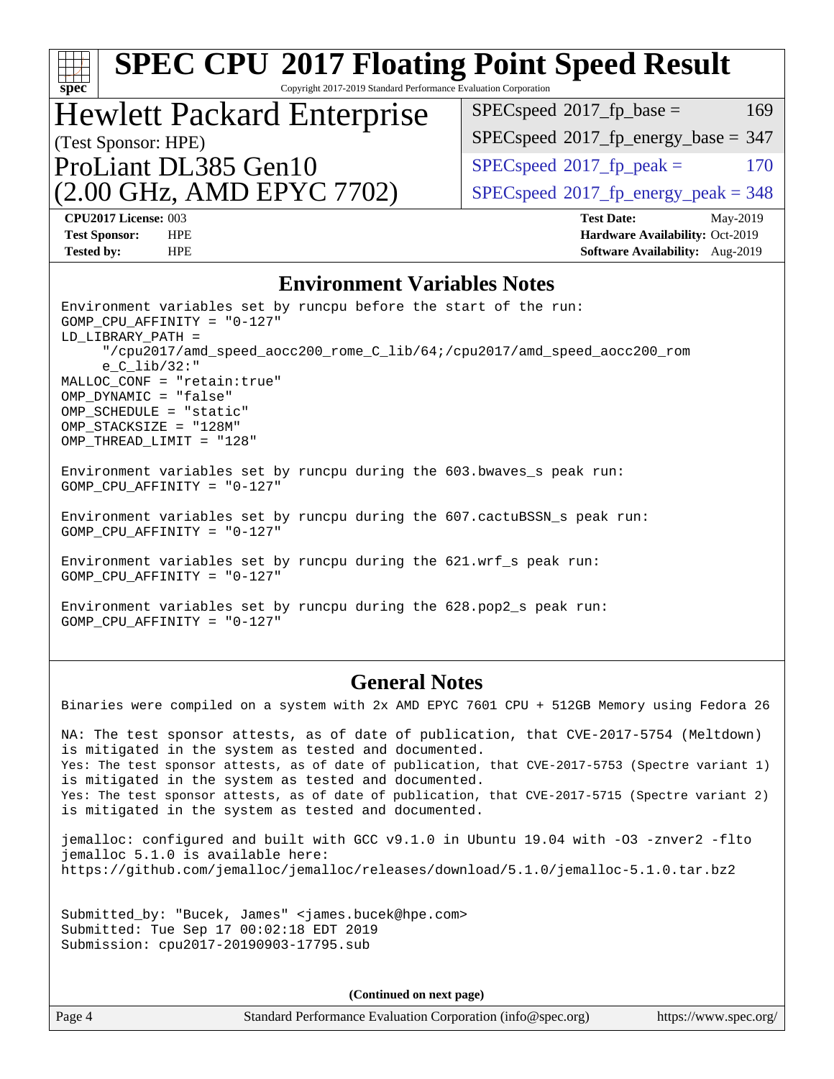| <b>SPEC CPU®2017 Floating Point Speed Result</b><br>Spec<br>Copyright 2017-2019 Standard Performance Evaluation Corporation                                                                                                                                                                                                                                                                                                                                            |                                                                           |  |  |  |  |  |
|------------------------------------------------------------------------------------------------------------------------------------------------------------------------------------------------------------------------------------------------------------------------------------------------------------------------------------------------------------------------------------------------------------------------------------------------------------------------|---------------------------------------------------------------------------|--|--|--|--|--|
| <b>Hewlett Packard Enterprise</b>                                                                                                                                                                                                                                                                                                                                                                                                                                      | $SPEC speed^{\circ}2017$ _fp_base =<br>169                                |  |  |  |  |  |
| (Test Sponsor: HPE)                                                                                                                                                                                                                                                                                                                                                                                                                                                    | $SPEC speed$ <sup>®</sup> 2017_fp_energy_base = 347                       |  |  |  |  |  |
| ProLiant DL385 Gen10                                                                                                                                                                                                                                                                                                                                                                                                                                                   | $SPEC speed^{\circ}2017$ _fp_peak =<br>170                                |  |  |  |  |  |
| (2.00 GHz, AMD EPYC 7702)                                                                                                                                                                                                                                                                                                                                                                                                                                              | $SPEC speed$ <sup>®</sup> 2017_fp_energy_peak = 348                       |  |  |  |  |  |
| CPU2017 License: 003                                                                                                                                                                                                                                                                                                                                                                                                                                                   | <b>Test Date:</b><br>May-2019                                             |  |  |  |  |  |
| <b>Test Sponsor:</b><br><b>HPE</b><br><b>Tested by:</b><br><b>HPE</b>                                                                                                                                                                                                                                                                                                                                                                                                  | Hardware Availability: Oct-2019<br><b>Software Availability:</b> Aug-2019 |  |  |  |  |  |
|                                                                                                                                                                                                                                                                                                                                                                                                                                                                        |                                                                           |  |  |  |  |  |
| <b>Environment Variables Notes</b><br>Environment variables set by runcpu before the start of the run:                                                                                                                                                                                                                                                                                                                                                                 |                                                                           |  |  |  |  |  |
| $GOMP_CPU_AFFINITY = "0-127"$<br>LD_LIBRARY_PATH =<br>"/cpu2017/amd_speed_aocc200_rome_C_lib/64;/cpu2017/amd_speed_aocc200_rom<br>$e_C_{lib/32}:$ "<br>MALLOC CONF = "retain:true"<br>OMP_DYNAMIC = "false"<br>OMP_SCHEDULE = "static"<br>OMP_STACKSIZE = "128M"<br>OMP_THREAD_LIMIT = "128"                                                                                                                                                                           |                                                                           |  |  |  |  |  |
| Environment variables set by runcpu during the 603. bwaves_s peak run:<br>GOMP_CPU_AFFINITY = $"0-127"$                                                                                                                                                                                                                                                                                                                                                                |                                                                           |  |  |  |  |  |
| Environment variables set by runcpu during the 607. cactuBSSN_s peak run:<br>GOMP_CPU_AFFINITY = $"0-127"$                                                                                                                                                                                                                                                                                                                                                             |                                                                           |  |  |  |  |  |
| Environment variables set by runcpu during the 621.wrf_s peak run:<br>GOMP CPU AFFINITY = $"0-127"$                                                                                                                                                                                                                                                                                                                                                                    |                                                                           |  |  |  |  |  |
| Environment variables set by runcpu during the 628.pop2_s peak run:<br>GOMP CPU AFFINITY = $"0-127"$                                                                                                                                                                                                                                                                                                                                                                   |                                                                           |  |  |  |  |  |
| <b>General Notes</b>                                                                                                                                                                                                                                                                                                                                                                                                                                                   |                                                                           |  |  |  |  |  |
| Binaries were compiled on a system with 2x AMD EPYC 7601 CPU + 512GB Memory using Fedora 26                                                                                                                                                                                                                                                                                                                                                                            |                                                                           |  |  |  |  |  |
| NA: The test sponsor attests, as of date of publication, that CVE-2017-5754 (Meltdown)<br>is mitigated in the system as tested and documented.<br>Yes: The test sponsor attests, as of date of publication, that CVE-2017-5753 (Spectre variant 1)<br>is mitigated in the system as tested and documented.<br>Yes: The test sponsor attests, as of date of publication, that CVE-2017-5715 (Spectre variant 2)<br>is mitigated in the system as tested and documented. |                                                                           |  |  |  |  |  |
| jemalloc: configured and built with GCC v9.1.0 in Ubuntu 19.04 with -03 -znver2 -flto<br>jemalloc 5.1.0 is available here:<br>https://github.com/jemalloc/jemalloc/releases/download/5.1.0/jemalloc-5.1.0.tar.bz2                                                                                                                                                                                                                                                      |                                                                           |  |  |  |  |  |
| Submitted_by: "Bucek, James" <james.bucek@hpe.com><br/>Submitted: Tue Sep 17 00:02:18 EDT 2019<br/>Submission: cpu2017-20190903-17795.sub</james.bucek@hpe.com>                                                                                                                                                                                                                                                                                                        |                                                                           |  |  |  |  |  |
| (Continued on next page)                                                                                                                                                                                                                                                                                                                                                                                                                                               |                                                                           |  |  |  |  |  |
| Page 4<br>Standard Performance Evaluation Corporation (info@spec.org)                                                                                                                                                                                                                                                                                                                                                                                                  | https://www.spec.org/                                                     |  |  |  |  |  |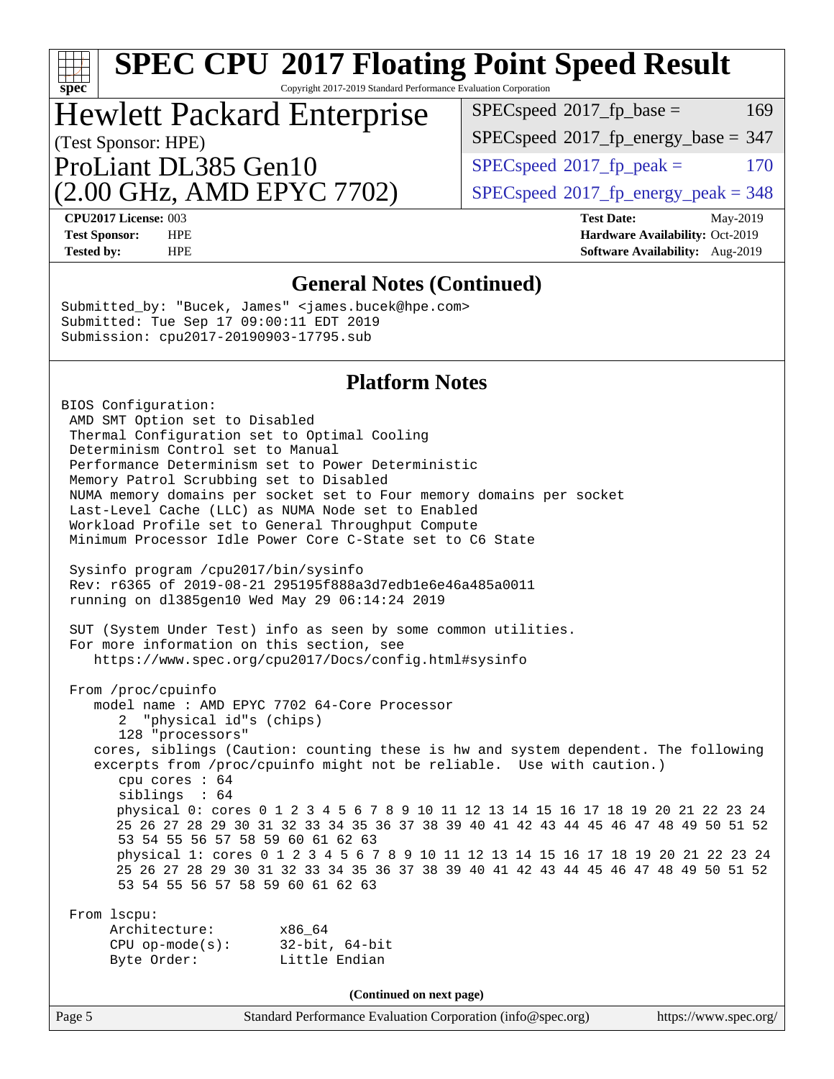# **[SPEC CPU](http://www.spec.org/auto/cpu2017/Docs/result-fields.html#SPECCPU2017FloatingPointSpeedResult)[2017 Floating Point Speed Result](http://www.spec.org/auto/cpu2017/Docs/result-fields.html#SPECCPU2017FloatingPointSpeedResult)**

Copyright 2017-2019 Standard Performance Evaluation Corporation

## (Test Sponsor: HPE) Hewlett Packard Enterprise

(2.00 GHz, AMD EPYC 7702) ProLiant DL385 Gen10

 $SPEC speed^{\circ}2017\_fp\_base = 169$ 

 $SPEC speed$ <sup>®</sup>[2017\\_fp\\_energy\\_base =](http://www.spec.org/auto/cpu2017/Docs/result-fields.html#SPECspeed2017fpenergybase) 347

 $SPECspeed^{\circ}2017<sub>rfp</sub> peak =$  $SPECspeed^{\circ}2017<sub>rfp</sub> peak =$  170

 $SPEC speed<sup>®</sup>2017<sub>__</sub>fp<sub>__</sub>energy<sub>__</sub>peak = 348$ 

**[spec](http://www.spec.org/)**

**[CPU2017 License:](http://www.spec.org/auto/cpu2017/Docs/result-fields.html#CPU2017License)** 003 **[Test Date:](http://www.spec.org/auto/cpu2017/Docs/result-fields.html#TestDate)** May-2019 **[Test Sponsor:](http://www.spec.org/auto/cpu2017/Docs/result-fields.html#TestSponsor)** HPE **[Hardware Availability:](http://www.spec.org/auto/cpu2017/Docs/result-fields.html#HardwareAvailability)** Oct-2019 **[Tested by:](http://www.spec.org/auto/cpu2017/Docs/result-fields.html#Testedby)** HPE **HPE [Software Availability:](http://www.spec.org/auto/cpu2017/Docs/result-fields.html#SoftwareAvailability)** Aug-2019

#### **[General Notes \(Continued\)](http://www.spec.org/auto/cpu2017/Docs/result-fields.html#GeneralNotes)**

Submitted\_by: "Bucek, James" <james.bucek@hpe.com> Submitted: Tue Sep 17 09:00:11 EDT 2019 Submission: cpu2017-20190903-17795.sub

#### **[Platform Notes](http://www.spec.org/auto/cpu2017/Docs/result-fields.html#PlatformNotes)**

BIOS Configuration: AMD SMT Option set to Disabled Thermal Configuration set to Optimal Cooling Determinism Control set to Manual Performance Determinism set to Power Deterministic Memory Patrol Scrubbing set to Disabled NUMA memory domains per socket set to Four memory domains per socket Last-Level Cache (LLC) as NUMA Node set to Enabled Workload Profile set to General Throughput Compute Minimum Processor Idle Power Core C-State set to C6 State Sysinfo program /cpu2017/bin/sysinfo Rev: r6365 of 2019-08-21 295195f888a3d7edb1e6e46a485a0011 running on dl385gen10 Wed May 29 06:14:24 2019 SUT (System Under Test) info as seen by some common utilities. For more information on this section, see <https://www.spec.org/cpu2017/Docs/config.html#sysinfo> From /proc/cpuinfo model name : AMD EPYC 7702 64-Core Processor 2 "physical id"s (chips) 128 "processors" cores, siblings (Caution: counting these is hw and system dependent. The following excerpts from /proc/cpuinfo might not be reliable. Use with caution.) cpu cores : 64 siblings : 64 physical 0: cores 0 1 2 3 4 5 6 7 8 9 10 11 12 13 14 15 16 17 18 19 20 21 22 23 24 25 26 27 28 29 30 31 32 33 34 35 36 37 38 39 40 41 42 43 44 45 46 47 48 49 50 51 52 53 54 55 56 57 58 59 60 61 62 63 physical 1: cores 0 1 2 3 4 5 6 7 8 9 10 11 12 13 14 15 16 17 18 19 20 21 22 23 24 25 26 27 28 29 30 31 32 33 34 35 36 37 38 39 40 41 42 43 44 45 46 47 48 49 50 51 52 53 54 55 56 57 58 59 60 61 62 63 From lscpu: Architecture: x86\_64 CPU op-mode(s): 32-bit, 64-bit Byte Order: Little Endian **(Continued on next page)**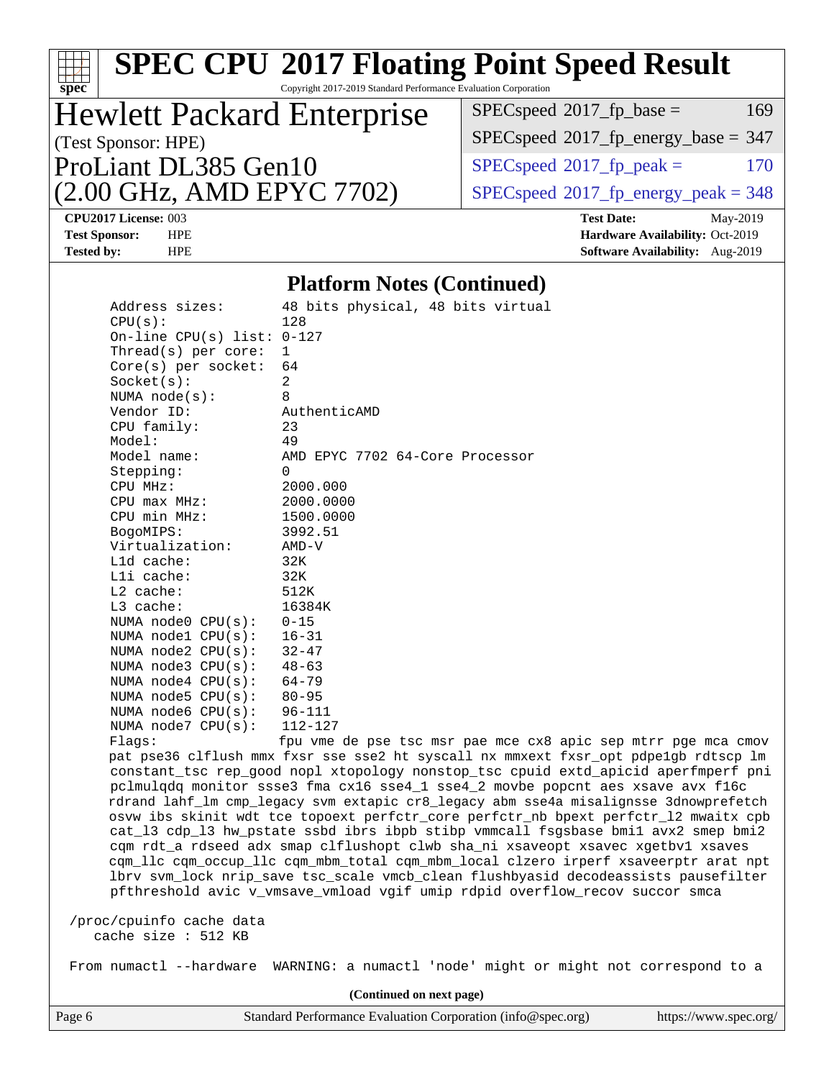|                                                                                               |                                                                 | <b>SPEC CPU®2017 Floating Point Speed Result</b>                                                                                                                         |  |  |  |  |
|-----------------------------------------------------------------------------------------------|-----------------------------------------------------------------|--------------------------------------------------------------------------------------------------------------------------------------------------------------------------|--|--|--|--|
| spec <sup>®</sup>                                                                             | Copyright 2017-2019 Standard Performance Evaluation Corporation |                                                                                                                                                                          |  |  |  |  |
| <b>Hewlett Packard Enterprise</b>                                                             |                                                                 | $SPEC speed^{\circ}2017$ fp base =<br>169                                                                                                                                |  |  |  |  |
| (Test Sponsor: HPE)                                                                           |                                                                 | $SPEC speed^{\circ}2017\_fp\_energy\_base = 347$                                                                                                                         |  |  |  |  |
| ProLiant DL385 Gen10                                                                          |                                                                 | $SPEC speed^{\circ}2017$ _fp_peak =<br>170                                                                                                                               |  |  |  |  |
| (2.00 GHz, AMD EPYC 7702)                                                                     |                                                                 | $SPEC speed@2017_fp\_energy\_peak = 348$                                                                                                                                 |  |  |  |  |
| CPU2017 License: 003<br><b>Test Sponsor:</b><br><b>HPE</b><br><b>Tested by:</b><br><b>HPE</b> |                                                                 | <b>Test Date:</b><br>May-2019<br>Hardware Availability: Oct-2019<br>Software Availability: Aug-2019                                                                      |  |  |  |  |
|                                                                                               | <b>Platform Notes (Continued)</b>                               |                                                                                                                                                                          |  |  |  |  |
| Address sizes:                                                                                | 48 bits physical, 48 bits virtual                               |                                                                                                                                                                          |  |  |  |  |
| CPU(s):                                                                                       | 128                                                             |                                                                                                                                                                          |  |  |  |  |
| On-line CPU(s) list: $0-127$<br>Thread( $s$ ) per core:                                       | $\mathbf{1}$                                                    |                                                                                                                                                                          |  |  |  |  |
| $Core(s)$ per socket:                                                                         | 64                                                              |                                                                                                                                                                          |  |  |  |  |
| Socket(s):                                                                                    | 2                                                               |                                                                                                                                                                          |  |  |  |  |
| NUMA $node(s)$ :                                                                              | 8                                                               |                                                                                                                                                                          |  |  |  |  |
| Vendor ID:                                                                                    | AuthenticAMD                                                    |                                                                                                                                                                          |  |  |  |  |
| CPU family:<br>Model:                                                                         | 23<br>49                                                        |                                                                                                                                                                          |  |  |  |  |
| Model name:                                                                                   | AMD EPYC 7702 64-Core Processor                                 |                                                                                                                                                                          |  |  |  |  |
| Stepping:                                                                                     | 0                                                               |                                                                                                                                                                          |  |  |  |  |
| CPU MHz:                                                                                      | 2000.000                                                        |                                                                                                                                                                          |  |  |  |  |
| $CPU$ max $MHz:$                                                                              | 2000.0000                                                       |                                                                                                                                                                          |  |  |  |  |
| CPU min MHz:                                                                                  | 1500.0000                                                       |                                                                                                                                                                          |  |  |  |  |
| BogoMIPS:<br>Virtualization:                                                                  | 3992.51<br>$AMD-V$                                              |                                                                                                                                                                          |  |  |  |  |
| $L1d$ cache:                                                                                  | 32K                                                             |                                                                                                                                                                          |  |  |  |  |
| Lli cache:                                                                                    | 32K                                                             |                                                                                                                                                                          |  |  |  |  |
| L2 cache:                                                                                     | 512K                                                            |                                                                                                                                                                          |  |  |  |  |
| L3 cache:                                                                                     | 16384K                                                          |                                                                                                                                                                          |  |  |  |  |
| NUMA $node0$ $CPU(s):$<br>NUMA nodel $CPU(s):$                                                | $0 - 15$<br>$16 - 31$                                           |                                                                                                                                                                          |  |  |  |  |
| NUMA $node2$ $CPU(s):$                                                                        | $32 - 47$                                                       |                                                                                                                                                                          |  |  |  |  |
| NUMA node3 CPU(s):                                                                            | $48 - 63$                                                       |                                                                                                                                                                          |  |  |  |  |
| NUMA $node4$ $CPU(s):$                                                                        | $64 - 79$                                                       |                                                                                                                                                                          |  |  |  |  |
| NUMA node5 CPU(s):                                                                            | $80 - 95$                                                       |                                                                                                                                                                          |  |  |  |  |
| NUMA node6 $CPU(s):$                                                                          | $96 - 111$                                                      |                                                                                                                                                                          |  |  |  |  |
| NUMA node7 CPU(s):<br>Flags:                                                                  | $112 - 127$                                                     | fpu vme de pse tsc msr pae mce cx8 apic sep mtrr pge mca cmov                                                                                                            |  |  |  |  |
|                                                                                               |                                                                 | pat pse36 clflush mmx fxsr sse sse2 ht syscall nx mmxext fxsr_opt pdpe1gb rdtscp lm                                                                                      |  |  |  |  |
|                                                                                               |                                                                 | constant_tsc rep_good nopl xtopology nonstop_tsc cpuid extd_apicid aperfmperf pni                                                                                        |  |  |  |  |
|                                                                                               |                                                                 | pclmulqdq monitor ssse3 fma cx16 sse4_1 sse4_2 movbe popcnt aes xsave avx f16c                                                                                           |  |  |  |  |
|                                                                                               |                                                                 | rdrand lahf_lm cmp_legacy svm extapic cr8_legacy abm sse4a misalignsse 3dnowprefetch                                                                                     |  |  |  |  |
|                                                                                               |                                                                 | osvw ibs skinit wdt tce topoext perfctr_core perfctr_nb bpext perfctr_12 mwaitx cpb<br>cat_13 cdp_13 hw_pstate ssbd ibrs ibpb stibp vmmcall fsgsbase bmi1 avx2 smep bmi2 |  |  |  |  |
|                                                                                               |                                                                 | cqm rdt_a rdseed adx smap clflushopt clwb sha_ni xsaveopt xsavec xgetbvl xsaves                                                                                          |  |  |  |  |
|                                                                                               |                                                                 | cqm_llc cqm_occup_llc cqm_mbm_total cqm_mbm_local clzero irperf xsaveerptr arat npt                                                                                      |  |  |  |  |
|                                                                                               |                                                                 | lbrv svm_lock nrip_save tsc_scale vmcb_clean flushbyasid decodeassists pausefilter                                                                                       |  |  |  |  |
| pfthreshold avic v_vmsave_vmload vgif umip rdpid overflow_recov succor smca                   |                                                                 |                                                                                                                                                                          |  |  |  |  |
| /proc/cpuinfo cache data<br>cache size $: 512$ KB                                             |                                                                 |                                                                                                                                                                          |  |  |  |  |
|                                                                                               |                                                                 | From numactl --hardware WARNING: a numactl 'node' might or might not correspond to a                                                                                     |  |  |  |  |
|                                                                                               | (Continued on next page)                                        |                                                                                                                                                                          |  |  |  |  |
| Page 6                                                                                        | Standard Performance Evaluation Corporation (info@spec.org)     | https://www.spec.org/                                                                                                                                                    |  |  |  |  |
|                                                                                               |                                                                 |                                                                                                                                                                          |  |  |  |  |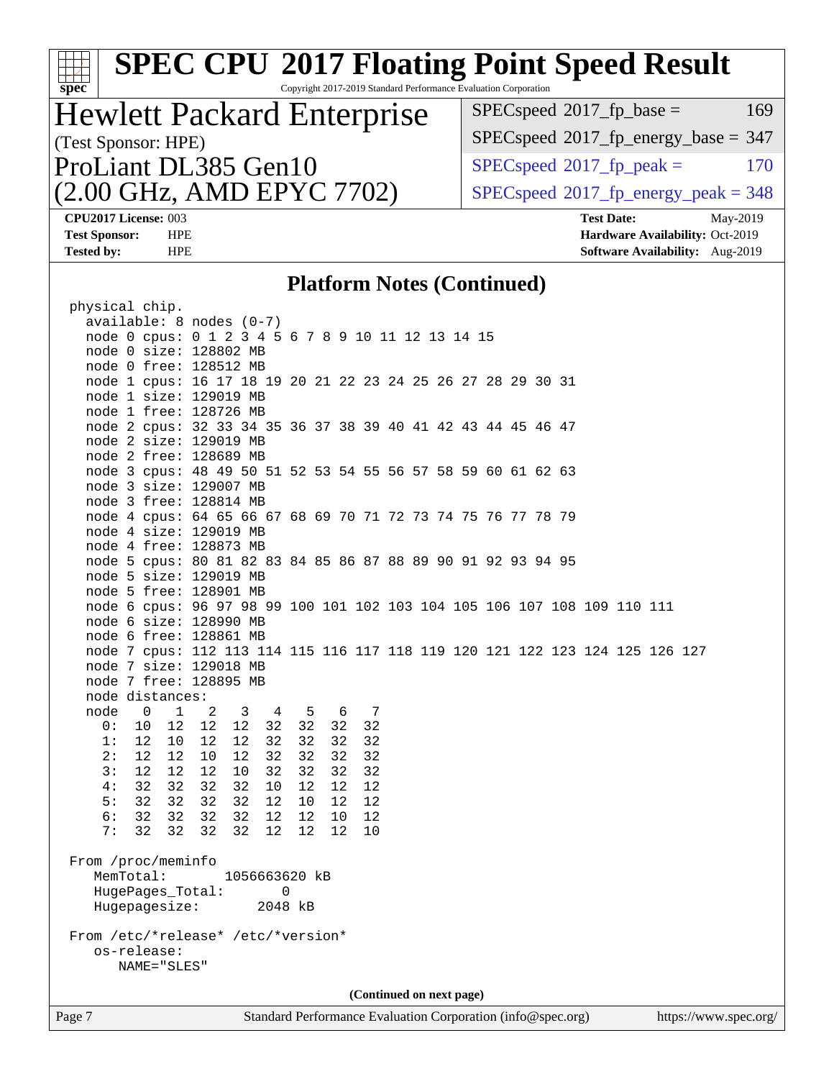| <b>SPEC CPU®2017 Floating Point Speed Result</b>                                                              |                                                                    |  |  |  |
|---------------------------------------------------------------------------------------------------------------|--------------------------------------------------------------------|--|--|--|
| Spec<br>Copyright 2017-2019 Standard Performance Evaluation Corporation                                       | $SPEC speed^{\circ}2017\_fp\_base =$<br>169                        |  |  |  |
| <b>Hewlett Packard Enterprise</b>                                                                             |                                                                    |  |  |  |
| (Test Sponsor: HPE)                                                                                           | $SPEC speed$ <sup>®</sup> 2017_fp_energy_base = 347                |  |  |  |
| ProLiant DL385 Gen10                                                                                          | $SPEC speed^{\circ}2017$ _fp_peak =<br>170                         |  |  |  |
| (2.00 GHz, AMD EPYC 7702)                                                                                     | $SPEC speed^{\circ}2017\_fp\_energy\_peak = 348$                   |  |  |  |
| CPU2017 License: 003                                                                                          | <b>Test Date:</b><br>May-2019                                      |  |  |  |
| <b>Test Sponsor:</b><br><b>HPE</b><br><b>Tested by:</b><br><b>HPE</b>                                         | Hardware Availability: Oct-2019<br>Software Availability: Aug-2019 |  |  |  |
|                                                                                                               |                                                                    |  |  |  |
| <b>Platform Notes (Continued)</b>                                                                             |                                                                    |  |  |  |
| physical chip.<br>$available: 8 nodes (0-7)$                                                                  |                                                                    |  |  |  |
| node 0 cpus: 0 1 2 3 4 5 6 7 8 9 10 11 12 13 14 15                                                            |                                                                    |  |  |  |
| node 0 size: 128802 MB<br>node 0 free: 128512 MB                                                              |                                                                    |  |  |  |
| node 1 cpus: 16 17 18 19 20 21 22 23 24 25 26 27 28 29 30 31                                                  |                                                                    |  |  |  |
| node 1 size: 129019 MB                                                                                        |                                                                    |  |  |  |
| node 1 free: 128726 MB<br>node 2 cpus: 32 33 34 35 36 37 38 39 40 41 42 43 44 45 46 47                        |                                                                    |  |  |  |
| node 2 size: 129019 MB                                                                                        |                                                                    |  |  |  |
| node 2 free: 128689 MB<br>node 3 cpus: 48 49 50 51 52 53 54 55 56 57 58 59 60 61 62 63                        |                                                                    |  |  |  |
| node 3 size: 129007 MB                                                                                        |                                                                    |  |  |  |
| node 3 free: 128814 MB<br>node 4 cpus: 64 65 66 67 68 69 70 71 72 73 74 75 76 77 78 79                        |                                                                    |  |  |  |
| node 4 size: 129019 MB                                                                                        |                                                                    |  |  |  |
| node 4 free: 128873 MB                                                                                        |                                                                    |  |  |  |
| node 5 cpus: 80 81 82 83 84 85 86 87 88 89 90 91 92 93 94 95<br>node 5 size: 129019 MB                        |                                                                    |  |  |  |
| node 5 free: 128901 MB                                                                                        |                                                                    |  |  |  |
| node 6 cpus: 96 97 98 99 100 101 102 103 104 105 106 107 108 109 110 111<br>node 6 size: 128990 MB            |                                                                    |  |  |  |
| node 6 free: 128861 MB                                                                                        |                                                                    |  |  |  |
| node 7 cpus: 112 113 114 115 116 117 118 119 120 121 122 123 124 125 126 127<br>node 7 size: 129018 MB        |                                                                    |  |  |  |
| node 7 free: 128895 MB                                                                                        |                                                                    |  |  |  |
| node distances:                                                                                               |                                                                    |  |  |  |
| node<br>0<br>$\mathbf{1}$<br>2<br>3<br>5<br>6<br>7<br>4<br>12<br>32<br>32<br>32<br>0:<br>10<br>12<br>12<br>32 |                                                                    |  |  |  |
| 12<br>12<br>32<br>32<br>32<br>32<br>1:<br>10<br>12                                                            |                                                                    |  |  |  |
| 2:<br>12<br>12<br>12<br>32<br>32<br>32<br>32<br>10<br>32<br>3:<br>12<br>12<br>12<br>32<br>32<br>32<br>10      |                                                                    |  |  |  |
| 4:<br>32<br>32<br>32<br>32<br>10<br>12<br>12<br>12                                                            |                                                                    |  |  |  |
| 32<br>32<br>5:<br>32<br>32<br>12<br>10<br>12<br>12<br>6:<br>32<br>32<br>32<br>32<br>12<br>12<br>12<br>10      |                                                                    |  |  |  |
| 7:<br>32<br>32<br>32<br>32<br>12<br>12<br>10<br>12                                                            |                                                                    |  |  |  |
| From /proc/meminfo                                                                                            |                                                                    |  |  |  |
| MemTotal:<br>1056663620 kB                                                                                    |                                                                    |  |  |  |
| HugePages_Total:<br>0<br>Hugepagesize:<br>2048 kB                                                             |                                                                    |  |  |  |
|                                                                                                               |                                                                    |  |  |  |
| From /etc/*release* /etc/*version*<br>os-release:                                                             |                                                                    |  |  |  |
| NAME="SLES"                                                                                                   |                                                                    |  |  |  |
| (Continued on next page)                                                                                      |                                                                    |  |  |  |
| Standard Performance Evaluation Corporation (info@spec.org)<br>Page 7                                         | https://www.spec.org/                                              |  |  |  |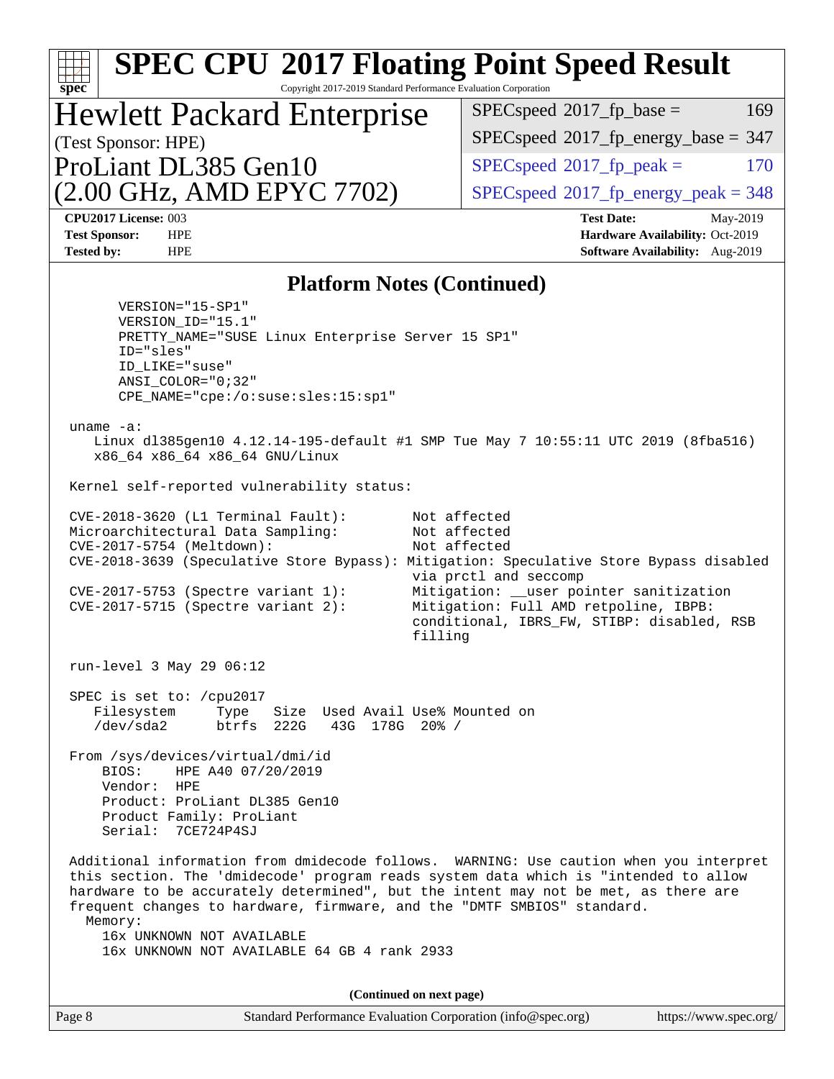| <b>SPEC CPU®2017 Floating Point Speed Result</b><br>Copyright 2017-2019 Standard Performance Evaluation Corporation<br>spec                                                                                                                                                                                                                                                                                                                                                                                                                                                                                                                                                                                                                                                                                                                                                                                                    |                                                                    |  |  |  |
|--------------------------------------------------------------------------------------------------------------------------------------------------------------------------------------------------------------------------------------------------------------------------------------------------------------------------------------------------------------------------------------------------------------------------------------------------------------------------------------------------------------------------------------------------------------------------------------------------------------------------------------------------------------------------------------------------------------------------------------------------------------------------------------------------------------------------------------------------------------------------------------------------------------------------------|--------------------------------------------------------------------|--|--|--|
|                                                                                                                                                                                                                                                                                                                                                                                                                                                                                                                                                                                                                                                                                                                                                                                                                                                                                                                                | $SPEC speed^{\circ}2017$ _fp_base =<br>169                         |  |  |  |
| <b>Hewlett Packard Enterprise</b><br>(Test Sponsor: HPE)                                                                                                                                                                                                                                                                                                                                                                                                                                                                                                                                                                                                                                                                                                                                                                                                                                                                       | $SPEC speed^{\circ}2017\_fp\_energy\_base = 347$                   |  |  |  |
| ProLiant DL385 Gen10                                                                                                                                                                                                                                                                                                                                                                                                                                                                                                                                                                                                                                                                                                                                                                                                                                                                                                           | $SPEC speed^{\circ}2017$ _fp_peak =<br>170                         |  |  |  |
| (2.00 GHz, AMD EPYC 7702)                                                                                                                                                                                                                                                                                                                                                                                                                                                                                                                                                                                                                                                                                                                                                                                                                                                                                                      | $SPEC speed^{\circ}2017\_fp\_energy\_peak = 348$                   |  |  |  |
| <b>CPU2017 License: 003</b>                                                                                                                                                                                                                                                                                                                                                                                                                                                                                                                                                                                                                                                                                                                                                                                                                                                                                                    | <b>Test Date:</b><br>May-2019                                      |  |  |  |
| <b>Test Sponsor:</b><br><b>HPE</b><br><b>Tested by:</b><br><b>HPE</b>                                                                                                                                                                                                                                                                                                                                                                                                                                                                                                                                                                                                                                                                                                                                                                                                                                                          | Hardware Availability: Oct-2019<br>Software Availability: Aug-2019 |  |  |  |
|                                                                                                                                                                                                                                                                                                                                                                                                                                                                                                                                                                                                                                                                                                                                                                                                                                                                                                                                |                                                                    |  |  |  |
| <b>Platform Notes (Continued)</b><br>$VERSION = "15-SP1"$<br>VERSION ID="15.1"<br>PRETTY_NAME="SUSE Linux Enterprise Server 15 SP1"<br>ID="sles"<br>ID LIKE="suse"<br>$ANSI$ _COLOR="0;32"<br>CPE NAME="cpe:/o:suse:sles:15:sp1"<br>uname $-a$ :<br>Linux d1385gen10 4.12.14-195-default #1 SMP Tue May 7 10:55:11 UTC 2019 (8fba516)<br>x86_64 x86_64 x86_64 GNU/Linux<br>Kernel self-reported vulnerability status:<br>$CVE-2018-3620$ (L1 Terminal Fault):<br>Not affected<br>Microarchitectural Data Sampling:<br>Not affected<br>CVE-2017-5754 (Meltdown):<br>Not affected<br>CVE-2018-3639 (Speculative Store Bypass): Mitigation: Speculative Store Bypass disabled<br>via prctl and seccomp<br>Mitigation: __user pointer sanitization<br>CVE-2017-5753 (Spectre variant 1):<br>Mitigation: Full AMD retpoline, IBPB:<br>$CVE-2017-5715$ (Spectre variant 2):<br>conditional, IBRS_FW, STIBP: disabled, RSB<br>filling |                                                                    |  |  |  |
| run-level 3 May 29 06:12<br>SPEC is set to: /cpu2017<br>Filesystem<br>Size Used Avail Use% Mounted on<br>Type<br>/dev/sda2<br>btrfs<br>222G<br>43G 178G 20% /<br>From /sys/devices/virtual/dmi/id<br>BIOS:<br>HPE A40 07/20/2019<br>Vendor:<br>HPE<br>Product: ProLiant DL385 Gen10<br>Product Family: ProLiant<br>Serial: 7CE724P4SJ<br>Additional information from dmidecode follows. WARNING: Use caution when you interpret<br>this section. The 'dmidecode' program reads system data which is "intended to allow<br>hardware to be accurately determined", but the intent may not be met, as there are<br>frequent changes to hardware, firmware, and the "DMTF SMBIOS" standard.<br>Memory:<br>16x UNKNOWN NOT AVAILABLE<br>16x UNKNOWN NOT AVAILABLE 64 GB 4 rank 2933                                                                                                                                                 |                                                                    |  |  |  |
| (Continued on next page)                                                                                                                                                                                                                                                                                                                                                                                                                                                                                                                                                                                                                                                                                                                                                                                                                                                                                                       |                                                                    |  |  |  |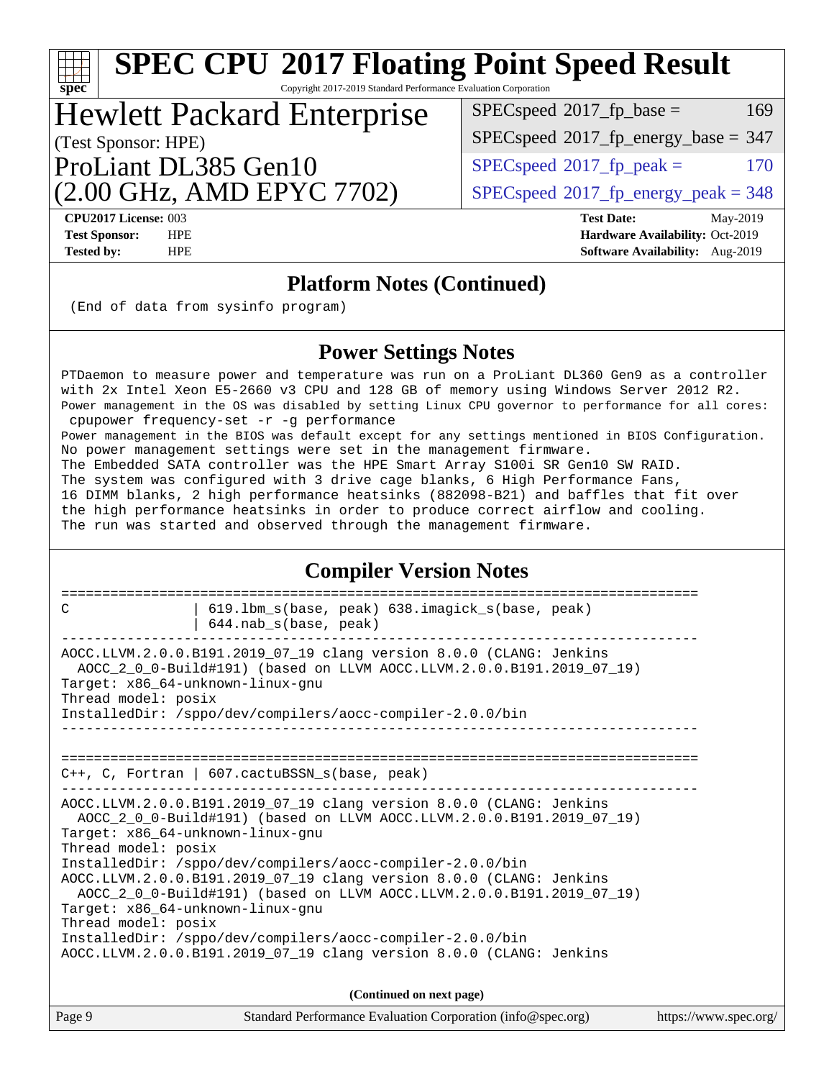| <b>SPEC CPU®2017 Floating Point Speed Result</b><br>spec <sup>®</sup><br>Copyright 2017-2019 Standard Performance Evaluation Corporation                                                                                                                                                                                                                                                                                                                                                                                                                                                                                                                                                                                                                                                                                                                                                                                       |                                                                                                            |  |  |  |  |  |  |
|--------------------------------------------------------------------------------------------------------------------------------------------------------------------------------------------------------------------------------------------------------------------------------------------------------------------------------------------------------------------------------------------------------------------------------------------------------------------------------------------------------------------------------------------------------------------------------------------------------------------------------------------------------------------------------------------------------------------------------------------------------------------------------------------------------------------------------------------------------------------------------------------------------------------------------|------------------------------------------------------------------------------------------------------------|--|--|--|--|--|--|
| $SPEC speed^{\circ}2017$ fp base =<br>169<br><b>Hewlett Packard Enterprise</b>                                                                                                                                                                                                                                                                                                                                                                                                                                                                                                                                                                                                                                                                                                                                                                                                                                                 |                                                                                                            |  |  |  |  |  |  |
| (Test Sponsor: HPE)                                                                                                                                                                                                                                                                                                                                                                                                                                                                                                                                                                                                                                                                                                                                                                                                                                                                                                            | $SPEC speed^{\circ}2017$ fp energy base = 347                                                              |  |  |  |  |  |  |
| ProLiant DL385 Gen10                                                                                                                                                                                                                                                                                                                                                                                                                                                                                                                                                                                                                                                                                                                                                                                                                                                                                                           | $SPEC speed^{\circ}2017$ _fp_peak =<br>170                                                                 |  |  |  |  |  |  |
| (2.00 GHz, AMD EPYC 7702)                                                                                                                                                                                                                                                                                                                                                                                                                                                                                                                                                                                                                                                                                                                                                                                                                                                                                                      | $SPEC speed^{\circ}2017\_fp\_energy\_peak = 348$                                                           |  |  |  |  |  |  |
| CPU2017 License: 003<br><b>Test Sponsor:</b><br><b>HPE</b><br><b>Tested by:</b><br><b>HPE</b>                                                                                                                                                                                                                                                                                                                                                                                                                                                                                                                                                                                                                                                                                                                                                                                                                                  | <b>Test Date:</b><br>May-2019<br>Hardware Availability: Oct-2019<br><b>Software Availability:</b> Aug-2019 |  |  |  |  |  |  |
| <b>Platform Notes (Continued)</b>                                                                                                                                                                                                                                                                                                                                                                                                                                                                                                                                                                                                                                                                                                                                                                                                                                                                                              |                                                                                                            |  |  |  |  |  |  |
| (End of data from sysinfo program)                                                                                                                                                                                                                                                                                                                                                                                                                                                                                                                                                                                                                                                                                                                                                                                                                                                                                             |                                                                                                            |  |  |  |  |  |  |
| <b>Power Settings Notes</b>                                                                                                                                                                                                                                                                                                                                                                                                                                                                                                                                                                                                                                                                                                                                                                                                                                                                                                    |                                                                                                            |  |  |  |  |  |  |
| PTDaemon to measure power and temperature was run on a ProLiant DL360 Gen9 as a controller<br>with 2x Intel Xeon E5-2660 v3 CPU and 128 GB of memory using Windows Server 2012 R2.<br>Power management in the OS was disabled by setting Linux CPU governor to performance for all cores:<br>cpupower frequency-set -r -g performance<br>Power management in the BIOS was default except for any settings mentioned in BIOS Configuration.<br>No power management settings were set in the management firmware.<br>The Embedded SATA controller was the HPE Smart Array S100i SR Gen10 SW RAID.<br>The system was configured with 3 drive cage blanks, 6 High Performance Fans,<br>16 DIMM blanks, 2 high performance heatsinks (882098-B21) and baffles that fit over<br>the high performance heatsinks in order to produce correct airflow and cooling.<br>The run was started and observed through the management firmware. |                                                                                                            |  |  |  |  |  |  |
| <b>Compiler Version Notes</b>                                                                                                                                                                                                                                                                                                                                                                                                                                                                                                                                                                                                                                                                                                                                                                                                                                                                                                  |                                                                                                            |  |  |  |  |  |  |
| 619.1bm_s(base, peak) 638.imagick_s(base, peak)<br>C<br>644.nab_s(base, peak)                                                                                                                                                                                                                                                                                                                                                                                                                                                                                                                                                                                                                                                                                                                                                                                                                                                  |                                                                                                            |  |  |  |  |  |  |
| AOCC.LLVM.2.0.0.B191.2019_07_19 clang version 8.0.0 (CLANG: Jenkins<br>AOCC_2_0_0-Build#191) (based on LLVM AOCC.LLVM.2.0.0.B191.2019_07_19)<br>Target: x86_64-unknown-linux-gnu<br>Thread model: posix<br>InstalledDir: /sppo/dev/compilers/aocc-compiler-2.0.0/bin<br>_________________________________                                                                                                                                                                                                                                                                                                                                                                                                                                                                                                                                                                                                                      |                                                                                                            |  |  |  |  |  |  |
| $C++$ , C, Fortran   607.cactuBSSN_s(base, peak)                                                                                                                                                                                                                                                                                                                                                                                                                                                                                                                                                                                                                                                                                                                                                                                                                                                                               |                                                                                                            |  |  |  |  |  |  |
| -------------------------------<br>AOCC.LLVM.2.0.0.B191.2019_07_19 clang version 8.0.0 (CLANG: Jenkins<br>AOCC_2_0_0-Build#191) (based on LLVM AOCC.LLVM.2.0.0.B191.2019_07_19)                                                                                                                                                                                                                                                                                                                                                                                                                                                                                                                                                                                                                                                                                                                                                |                                                                                                            |  |  |  |  |  |  |

|        | AOCC.LLVM.2.0.0.B191.2019 07 19 clang version 8.0.0 (CLANG: Jenkins |                       |
|--------|---------------------------------------------------------------------|-----------------------|
|        | (Continued on next page)                                            |                       |
| Page 9 | Standard Performance Evaluation Corporation (info@spec.org)         | https://www.spec.org/ |

Target: x86\_64-unknown-linux-gnu

Target: x86\_64-unknown-linux-gnu

InstalledDir: /sppo/dev/compilers/aocc-compiler-2.0.0/bin

InstalledDir: /sppo/dev/compilers/aocc-compiler-2.0.0/bin

AOCC.LLVM.2.0.0.B191.2019\_07\_19 clang version 8.0.0 (CLANG: Jenkins

AOCC\_2\_0\_0-Build#191) (based on LLVM AOCC.LLVM.2.0.0.B191.2019\_07\_19)

Thread model: posix

Thread model: posix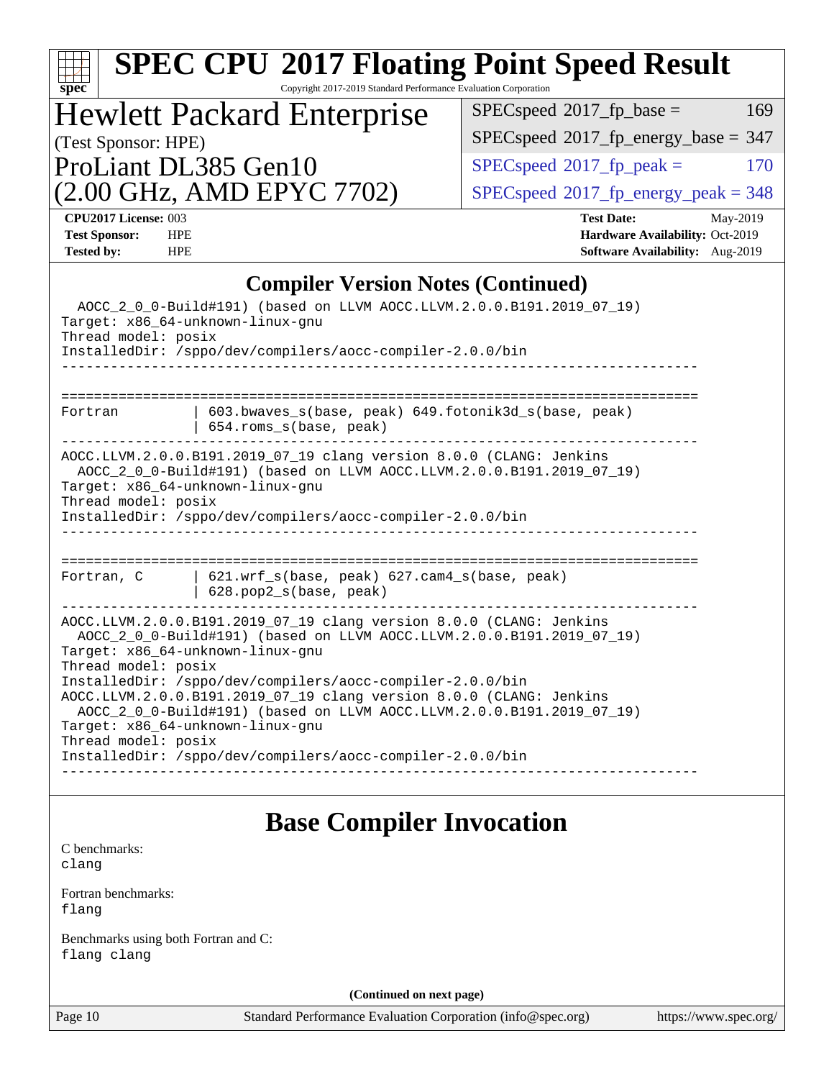|                                                                                                                                                                                                                                                                                                                                             | <b>SPEC CPU®2017 Floating Point Speed Result</b>                                                    |  |  |  |  |  |
|---------------------------------------------------------------------------------------------------------------------------------------------------------------------------------------------------------------------------------------------------------------------------------------------------------------------------------------------|-----------------------------------------------------------------------------------------------------|--|--|--|--|--|
| Copyright 2017-2019 Standard Performance Evaluation Corporation<br>$spec^*$                                                                                                                                                                                                                                                                 |                                                                                                     |  |  |  |  |  |
| <b>Hewlett Packard Enterprise</b>                                                                                                                                                                                                                                                                                                           | 169<br>$SPEC speed^{\circ}2017$ fp base =                                                           |  |  |  |  |  |
| (Test Sponsor: HPE)                                                                                                                                                                                                                                                                                                                         | $SPEC speed^{\circ}2017$ fp energy base = 347                                                       |  |  |  |  |  |
| ProLiant DL385 Gen10                                                                                                                                                                                                                                                                                                                        | $SPEC speed^{\circ}2017$ _fp_peak =<br>170                                                          |  |  |  |  |  |
| (2.00 GHz, AMD EPYC 7702)                                                                                                                                                                                                                                                                                                                   | $SPEC speed^{\circ}2017\_fp\_energy\_peak = 348$                                                    |  |  |  |  |  |
| CPU2017 License: 003<br><b>Test Sponsor:</b><br><b>HPE</b><br><b>Tested by:</b><br><b>HPE</b>                                                                                                                                                                                                                                               | <b>Test Date:</b><br>May-2019<br>Hardware Availability: Oct-2019<br>Software Availability: Aug-2019 |  |  |  |  |  |
| <b>Compiler Version Notes (Continued)</b>                                                                                                                                                                                                                                                                                                   |                                                                                                     |  |  |  |  |  |
| AOCC_2_0_0-Build#191) (based on LLVM AOCC.LLVM.2.0.0.B191.2019_07_19)<br>Target: x86_64-unknown-linux-gnu<br>Thread model: posix<br>InstalledDir: /sppo/dev/compilers/aocc-compiler-2.0.0/bin                                                                                                                                               |                                                                                                     |  |  |  |  |  |
| 603.bwaves_s(base, peak) 649.fotonik3d_s(base, peak)<br>Fortran<br>654.roms_s(base, peak)                                                                                                                                                                                                                                                   |                                                                                                     |  |  |  |  |  |
| AOCC.LLVM.2.0.0.B191.2019_07_19 clang version 8.0.0 (CLANG: Jenkins<br>AOCC_2_0_0-Build#191) (based on LLVM AOCC.LLVM.2.0.0.B191.2019_07_19)<br>Target: x86_64-unknown-linux-gnu<br>Thread model: posix<br>InstalledDir: /sppo/dev/compilers/aocc-compiler-2.0.0/bin                                                                        |                                                                                                     |  |  |  |  |  |
| 621.wrf_s(base, peak) 627.cam4_s(base, peak)<br>Fortran, C<br>628.pop2_s(base, peak)                                                                                                                                                                                                                                                        |                                                                                                     |  |  |  |  |  |
| AOCC.LLVM.2.0.0.B191.2019_07_19 clang version 8.0.0 (CLANG: Jenkins<br>AOCC_2_0_0-Build#191) (based on LLVM AOCC.LLVM.2.0.0.B191.2019_07_19)<br>Target: x86_64-unknown-linux-gnu<br>Thread model: posix<br>InstalledDir: /sppo/dev/compilers/aocc-compiler-2.0.0/bin<br>AOCC.LLVM.2.0.0.B191.2019_07_19 clang version 8.0.0 (CLANG: Jenkins |                                                                                                     |  |  |  |  |  |
| AOCC_2_0_0-Build#191) (based on LLVM AOCC.LLVM.2.0.0.B191.2019_07_19)<br>Target: x86_64-unknown-linux-gnu<br>Thread model: posix<br>InstalledDir: /sppo/dev/compilers/aocc-compiler-2.0.0/bin                                                                                                                                               |                                                                                                     |  |  |  |  |  |
| <b>Base Compiler Invocation</b>                                                                                                                                                                                                                                                                                                             |                                                                                                     |  |  |  |  |  |
| C benchmarks:<br>clang                                                                                                                                                                                                                                                                                                                      |                                                                                                     |  |  |  |  |  |
| Fortran benchmarks:<br>flang                                                                                                                                                                                                                                                                                                                |                                                                                                     |  |  |  |  |  |
| Benchmarks using both Fortran and C:<br>flang clang                                                                                                                                                                                                                                                                                         |                                                                                                     |  |  |  |  |  |
| (Continued on next page)                                                                                                                                                                                                                                                                                                                    |                                                                                                     |  |  |  |  |  |
| Page 10<br>Standard Performance Evaluation Corporation (info@spec.org)                                                                                                                                                                                                                                                                      | https://www.spec.org/                                                                               |  |  |  |  |  |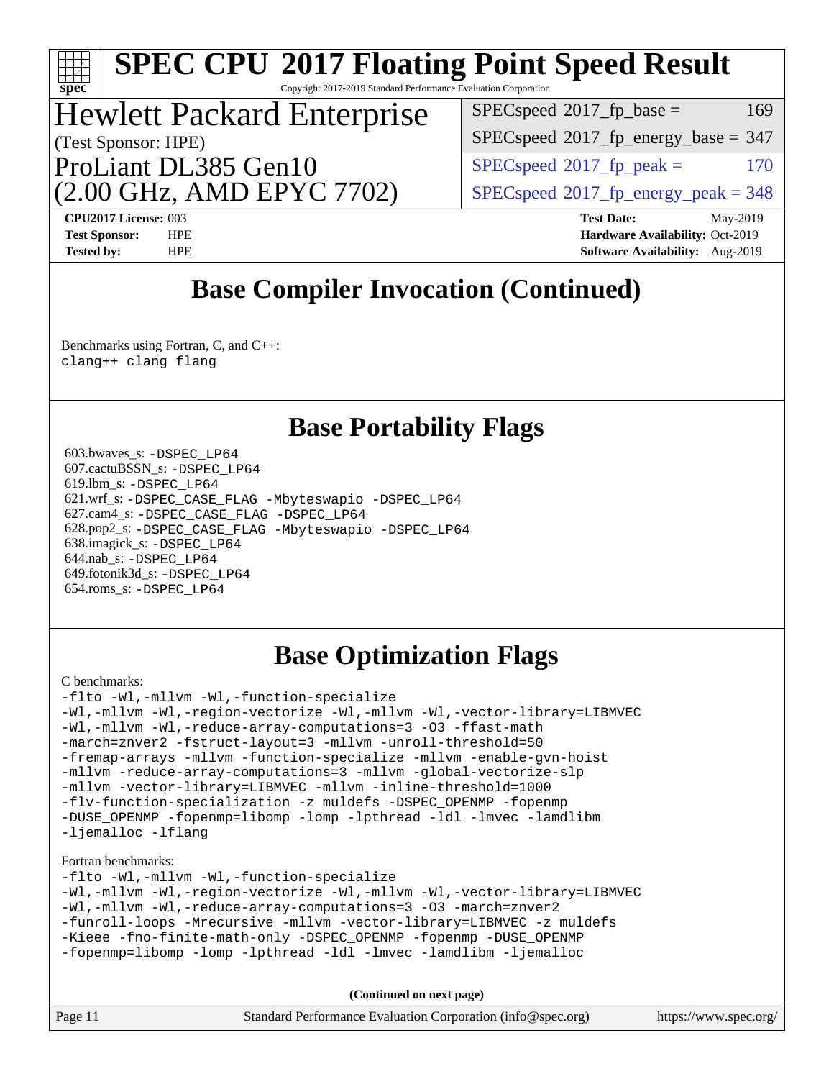| SPEC CPU®2017 Floating Point Speed Result |
|-------------------------------------------|
|                                           |

Copyright 2017-2019 Standard Performance Evaluation Corporation

## (Test Sponsor: HPE) Hewlett Packard Enterprise

(2.00 GHz, AMD EPYC 7702) ProLiant DL385 Gen10

 $SPEC speed^{\circ}2017\_fp\_base = 169$ 

 $SPEC speed$ <sup>®</sup> $2017$ \_fp\_energy\_base = 347

 $SPEC speed^{\circ}2017$  fp peak = 170

 $SPEC speed<sup>®</sup>2017<sub>__</sub>fp<sub>__</sub>energy<sub>__</sub>peak = 348$ 

**[spec](http://www.spec.org/)**

**[CPU2017 License:](http://www.spec.org/auto/cpu2017/Docs/result-fields.html#CPU2017License)** 003 **[Test Date:](http://www.spec.org/auto/cpu2017/Docs/result-fields.html#TestDate)** May-2019 **[Test Sponsor:](http://www.spec.org/auto/cpu2017/Docs/result-fields.html#TestSponsor)** HPE **[Hardware Availability:](http://www.spec.org/auto/cpu2017/Docs/result-fields.html#HardwareAvailability)** Oct-2019 **[Tested by:](http://www.spec.org/auto/cpu2017/Docs/result-fields.html#Testedby)** HPE **HPE [Software Availability:](http://www.spec.org/auto/cpu2017/Docs/result-fields.html#SoftwareAvailability)** Aug-2019

## **[Base Compiler Invocation \(Continued\)](http://www.spec.org/auto/cpu2017/Docs/result-fields.html#BaseCompilerInvocation)**

[Benchmarks using Fortran, C, and C++:](http://www.spec.org/auto/cpu2017/Docs/result-fields.html#BenchmarksusingFortranCandCXX) [clang++](http://www.spec.org/cpu2017/results/res2019q3/cpu2017-20190903-17795.flags.html#user_CC_CXX_FCbase_clang-cpp) [clang](http://www.spec.org/cpu2017/results/res2019q3/cpu2017-20190903-17795.flags.html#user_CC_CXX_FCbase_clang-c) [flang](http://www.spec.org/cpu2017/results/res2019q3/cpu2017-20190903-17795.flags.html#user_CC_CXX_FCbase_flang)

## **[Base Portability Flags](http://www.spec.org/auto/cpu2017/Docs/result-fields.html#BasePortabilityFlags)**

 603.bwaves\_s: [-DSPEC\\_LP64](http://www.spec.org/cpu2017/results/res2019q3/cpu2017-20190903-17795.flags.html#suite_baseEXTRA_PORTABILITY603_bwaves_s_DSPEC_LP64) 607.cactuBSSN\_s: [-DSPEC\\_LP64](http://www.spec.org/cpu2017/results/res2019q3/cpu2017-20190903-17795.flags.html#suite_baseEXTRA_PORTABILITY607_cactuBSSN_s_DSPEC_LP64) 619.lbm\_s: [-DSPEC\\_LP64](http://www.spec.org/cpu2017/results/res2019q3/cpu2017-20190903-17795.flags.html#suite_baseEXTRA_PORTABILITY619_lbm_s_DSPEC_LP64) 621.wrf\_s: [-DSPEC\\_CASE\\_FLAG](http://www.spec.org/cpu2017/results/res2019q3/cpu2017-20190903-17795.flags.html#b621.wrf_s_baseCPORTABILITY_DSPEC_CASE_FLAG) [-Mbyteswapio](http://www.spec.org/cpu2017/results/res2019q3/cpu2017-20190903-17795.flags.html#user_baseFPORTABILITY621_wrf_s_F-mbyteswapio_543c39ce38db59bcbc3b888917ef58c313007ae1c27520b689e012995ae261114051d1d5efcb4182d175ce22a6a15532d3a9999882dd2c360e6d853f41da6883) [-DSPEC\\_LP64](http://www.spec.org/cpu2017/results/res2019q3/cpu2017-20190903-17795.flags.html#suite_baseEXTRA_PORTABILITY621_wrf_s_DSPEC_LP64) 627.cam4\_s: [-DSPEC\\_CASE\\_FLAG](http://www.spec.org/cpu2017/results/res2019q3/cpu2017-20190903-17795.flags.html#b627.cam4_s_basePORTABILITY_DSPEC_CASE_FLAG) [-DSPEC\\_LP64](http://www.spec.org/cpu2017/results/res2019q3/cpu2017-20190903-17795.flags.html#suite_baseEXTRA_PORTABILITY627_cam4_s_DSPEC_LP64) 628.pop2\_s: [-DSPEC\\_CASE\\_FLAG](http://www.spec.org/cpu2017/results/res2019q3/cpu2017-20190903-17795.flags.html#b628.pop2_s_baseCPORTABILITY_DSPEC_CASE_FLAG) [-Mbyteswapio](http://www.spec.org/cpu2017/results/res2019q3/cpu2017-20190903-17795.flags.html#user_baseFPORTABILITY628_pop2_s_F-mbyteswapio_543c39ce38db59bcbc3b888917ef58c313007ae1c27520b689e012995ae261114051d1d5efcb4182d175ce22a6a15532d3a9999882dd2c360e6d853f41da6883) [-DSPEC\\_LP64](http://www.spec.org/cpu2017/results/res2019q3/cpu2017-20190903-17795.flags.html#suite_baseEXTRA_PORTABILITY628_pop2_s_DSPEC_LP64) 638.imagick\_s: [-DSPEC\\_LP64](http://www.spec.org/cpu2017/results/res2019q3/cpu2017-20190903-17795.flags.html#suite_baseEXTRA_PORTABILITY638_imagick_s_DSPEC_LP64) 644.nab\_s: [-DSPEC\\_LP64](http://www.spec.org/cpu2017/results/res2019q3/cpu2017-20190903-17795.flags.html#suite_baseEXTRA_PORTABILITY644_nab_s_DSPEC_LP64) 649.fotonik3d\_s: [-DSPEC\\_LP64](http://www.spec.org/cpu2017/results/res2019q3/cpu2017-20190903-17795.flags.html#suite_baseEXTRA_PORTABILITY649_fotonik3d_s_DSPEC_LP64) 654.roms\_s: [-DSPEC\\_LP64](http://www.spec.org/cpu2017/results/res2019q3/cpu2017-20190903-17795.flags.html#suite_baseEXTRA_PORTABILITY654_roms_s_DSPEC_LP64)

## **[Base Optimization Flags](http://www.spec.org/auto/cpu2017/Docs/result-fields.html#BaseOptimizationFlags)**

#### [C benchmarks](http://www.spec.org/auto/cpu2017/Docs/result-fields.html#Cbenchmarks):

[-flto](http://www.spec.org/cpu2017/results/res2019q3/cpu2017-20190903-17795.flags.html#user_CCbase_aocc-flto) [-Wl,-mllvm -Wl,-function-specialize](http://www.spec.org/cpu2017/results/res2019q3/cpu2017-20190903-17795.flags.html#user_CCbase_F-function-specialize_7e7e661e57922243ee67c9a1251cb8910e607325179a0ce7f2884e09a6f5d4a5ef0ae4f37e8a2a11c95fc48e931f06dc2b6016f14b511fcb441e048bef1b065a) [-Wl,-mllvm -Wl,-region-vectorize](http://www.spec.org/cpu2017/results/res2019q3/cpu2017-20190903-17795.flags.html#user_CCbase_F-region-vectorize_fb6c6b5aa293c88efc6c7c2b52b20755e943585b1fe8658c35afef78727fff56e1a56891413c30e36b8e2a6f9a71126986319243e80eb6110b78b288f533c52b) [-Wl,-mllvm -Wl,-vector-library=LIBMVEC](http://www.spec.org/cpu2017/results/res2019q3/cpu2017-20190903-17795.flags.html#user_CCbase_F-use-vector-library_0a14b27fae317f283640384a31f7bfcc2bd4c1d0b5cfc618a3a430800c9b20217b00f61303eff223a3251b4f06ffbc9739dc5296db9d1fbb9ad24a3939d86d66) [-Wl,-mllvm -Wl,-reduce-array-computations=3](http://www.spec.org/cpu2017/results/res2019q3/cpu2017-20190903-17795.flags.html#user_CCbase_F-reduce-array-computations_b882aefe7a5dda4e33149f6299762b9a720dace3e498e13756f4c04e5a19edf5315c1f3993de2e61ec41e8c206231f84e05da7040e1bb5d69ba27d10a12507e4) [-O3](http://www.spec.org/cpu2017/results/res2019q3/cpu2017-20190903-17795.flags.html#user_CCbase_F-O3) [-ffast-math](http://www.spec.org/cpu2017/results/res2019q3/cpu2017-20190903-17795.flags.html#user_CCbase_aocc-ffast-math) [-march=znver2](http://www.spec.org/cpu2017/results/res2019q3/cpu2017-20190903-17795.flags.html#user_CCbase_aocc-march_3e2e19cff2eeef60c5d90b059483627c9ea47eca6d66670dbd53f9185f6439e27eb5e104cf773e9e8ab18c8842ce63e461a3e948d0214bd567ef3ade411bf467) [-fstruct-layout=3](http://www.spec.org/cpu2017/results/res2019q3/cpu2017-20190903-17795.flags.html#user_CCbase_F-struct-layout) [-mllvm -unroll-threshold=50](http://www.spec.org/cpu2017/results/res2019q3/cpu2017-20190903-17795.flags.html#user_CCbase_F-unroll-threshold_458874500b2c105d6d5cb4d7a611c40e2b16e9e3d26b355fea72d644c3673b4de4b3932662f0ed3dbec75c491a13da2d2ca81180bd779dc531083ef1e1e549dc) [-fremap-arrays](http://www.spec.org/cpu2017/results/res2019q3/cpu2017-20190903-17795.flags.html#user_CCbase_F-fremap-arrays) [-mllvm -function-specialize](http://www.spec.org/cpu2017/results/res2019q3/cpu2017-20190903-17795.flags.html#user_CCbase_F-function-specialize_233b3bdba86027f1b094368157e481c5bc59f40286dc25bfadc1858dcd5745c24fd30d5f188710db7fea399bcc9f44a80b3ce3aacc70a8870250c3ae5e1f35b8) [-mllvm -enable-gvn-hoist](http://www.spec.org/cpu2017/results/res2019q3/cpu2017-20190903-17795.flags.html#user_CCbase_F-enable-gvn-hoist_e5856354646dd6ca1333a0ad99b817e4cf8932b91b82809fd8fd47ceff7b22a89eba5c98fd3e3fa5200368fd772cec3dd56abc3c8f7b655a71b9f9848dddedd5) [-mllvm -reduce-array-computations=3](http://www.spec.org/cpu2017/results/res2019q3/cpu2017-20190903-17795.flags.html#user_CCbase_F-reduce-array-computations_aceadb8604558b566e0e3a0d7a3c1533923dd1fa0889614e16288028922629a28d5695c24d3b3be4306b1e311c54317dfffe3a2e57fbcaabc737a1798de39145) [-mllvm -global-vectorize-slp](http://www.spec.org/cpu2017/results/res2019q3/cpu2017-20190903-17795.flags.html#user_CCbase_F-global-vectorize-slp_a3935e8627af4ced727033b1ffd4db27f4d541a363d28d82bf4c2925fb3a0fd4115d6e42d13a2829f9e024d6608eb67a85cb49770f2da5c5ac8dbc737afad603) [-mllvm -vector-library=LIBMVEC](http://www.spec.org/cpu2017/results/res2019q3/cpu2017-20190903-17795.flags.html#user_CCbase_F-use-vector-library_e584e20b4f7ec96aa109254b65d8e01d864f3d68580371b9d93ed7c338191d4cfce20c3c864632264effc6bbe4c7c38153d02096a342ee92501c4a53204a7871) [-mllvm -inline-threshold=1000](http://www.spec.org/cpu2017/results/res2019q3/cpu2017-20190903-17795.flags.html#user_CCbase_dragonegg-llvm-inline-threshold_b7832241b0a6397e4ecdbaf0eb7defdc10f885c2a282fa3240fdc99844d543fda39cf8a4a9dccf68cf19b5438ac3b455264f478df15da0f4988afa40d8243bab) [-flv-function-specialization](http://www.spec.org/cpu2017/results/res2019q3/cpu2017-20190903-17795.flags.html#user_CCbase_F-flv-function-specialization) [-z muldefs](http://www.spec.org/cpu2017/results/res2019q3/cpu2017-20190903-17795.flags.html#user_CCbase_aocc-muldefs) [-DSPEC\\_OPENMP](http://www.spec.org/cpu2017/results/res2019q3/cpu2017-20190903-17795.flags.html#suite_CCbase_DSPEC_OPENMP) [-fopenmp](http://www.spec.org/cpu2017/results/res2019q3/cpu2017-20190903-17795.flags.html#user_CCbase_aocc-fopenmp) [-DUSE\\_OPENMP](http://www.spec.org/cpu2017/results/res2019q3/cpu2017-20190903-17795.flags.html#user_CCbase_F-DUSE_OPENMP) [-fopenmp=libomp](http://www.spec.org/cpu2017/results/res2019q3/cpu2017-20190903-17795.flags.html#user_CCbase_aocc-fopenmp_3eb6ab80166bcc84161ff8c20c8d5bc344f88119f45620444596454f7d72e99b7a0ceefc2d1b4d190bd07306bbfdfc20f11f5a2dc69c9b03c72239f8406741c3) [-lomp](http://www.spec.org/cpu2017/results/res2019q3/cpu2017-20190903-17795.flags.html#user_CCbase_F-lomp) [-lpthread](http://www.spec.org/cpu2017/results/res2019q3/cpu2017-20190903-17795.flags.html#user_CCbase_F-lpthread) [-ldl](http://www.spec.org/cpu2017/results/res2019q3/cpu2017-20190903-17795.flags.html#user_CCbase_F-ldl) [-lmvec](http://www.spec.org/cpu2017/results/res2019q3/cpu2017-20190903-17795.flags.html#user_CCbase_F-lmvec) [-lamdlibm](http://www.spec.org/cpu2017/results/res2019q3/cpu2017-20190903-17795.flags.html#user_CCbase_F-lamdlibm) [-ljemalloc](http://www.spec.org/cpu2017/results/res2019q3/cpu2017-20190903-17795.flags.html#user_CCbase_jemalloc-lib) [-lflang](http://www.spec.org/cpu2017/results/res2019q3/cpu2017-20190903-17795.flags.html#user_CCbase_F-lflang)

#### [Fortran benchmarks](http://www.spec.org/auto/cpu2017/Docs/result-fields.html#Fortranbenchmarks):

[-flto](http://www.spec.org/cpu2017/results/res2019q3/cpu2017-20190903-17795.flags.html#user_FCbase_aocc-flto) [-Wl,-mllvm -Wl,-function-specialize](http://www.spec.org/cpu2017/results/res2019q3/cpu2017-20190903-17795.flags.html#user_FCbase_F-function-specialize_7e7e661e57922243ee67c9a1251cb8910e607325179a0ce7f2884e09a6f5d4a5ef0ae4f37e8a2a11c95fc48e931f06dc2b6016f14b511fcb441e048bef1b065a) [-Wl,-mllvm -Wl,-region-vectorize](http://www.spec.org/cpu2017/results/res2019q3/cpu2017-20190903-17795.flags.html#user_FCbase_F-region-vectorize_fb6c6b5aa293c88efc6c7c2b52b20755e943585b1fe8658c35afef78727fff56e1a56891413c30e36b8e2a6f9a71126986319243e80eb6110b78b288f533c52b) [-Wl,-mllvm -Wl,-vector-library=LIBMVEC](http://www.spec.org/cpu2017/results/res2019q3/cpu2017-20190903-17795.flags.html#user_FCbase_F-use-vector-library_0a14b27fae317f283640384a31f7bfcc2bd4c1d0b5cfc618a3a430800c9b20217b00f61303eff223a3251b4f06ffbc9739dc5296db9d1fbb9ad24a3939d86d66) [-Wl,-mllvm -Wl,-reduce-array-computations=3](http://www.spec.org/cpu2017/results/res2019q3/cpu2017-20190903-17795.flags.html#user_FCbase_F-reduce-array-computations_b882aefe7a5dda4e33149f6299762b9a720dace3e498e13756f4c04e5a19edf5315c1f3993de2e61ec41e8c206231f84e05da7040e1bb5d69ba27d10a12507e4) [-O3](http://www.spec.org/cpu2017/results/res2019q3/cpu2017-20190903-17795.flags.html#user_FCbase_F-O3) [-march=znver2](http://www.spec.org/cpu2017/results/res2019q3/cpu2017-20190903-17795.flags.html#user_FCbase_aocc-march_3e2e19cff2eeef60c5d90b059483627c9ea47eca6d66670dbd53f9185f6439e27eb5e104cf773e9e8ab18c8842ce63e461a3e948d0214bd567ef3ade411bf467) [-funroll-loops](http://www.spec.org/cpu2017/results/res2019q3/cpu2017-20190903-17795.flags.html#user_FCbase_aocc-unroll-loops) [-Mrecursive](http://www.spec.org/cpu2017/results/res2019q3/cpu2017-20190903-17795.flags.html#user_FCbase_F-mrecursive_20a145d63f12d5750a899e17d4450b5b8b40330a9bb4af13688ca650e6fb30857bbbe44fb35cdbb895df6e5b2769de0a0d7659f51ff17acfbef6febafec4023f) [-mllvm -vector-library=LIBMVEC](http://www.spec.org/cpu2017/results/res2019q3/cpu2017-20190903-17795.flags.html#user_FCbase_F-use-vector-library_e584e20b4f7ec96aa109254b65d8e01d864f3d68580371b9d93ed7c338191d4cfce20c3c864632264effc6bbe4c7c38153d02096a342ee92501c4a53204a7871) [-z muldefs](http://www.spec.org/cpu2017/results/res2019q3/cpu2017-20190903-17795.flags.html#user_FCbase_aocc-muldefs) [-Kieee](http://www.spec.org/cpu2017/results/res2019q3/cpu2017-20190903-17795.flags.html#user_FCbase_F-kieee) [-fno-finite-math-only](http://www.spec.org/cpu2017/results/res2019q3/cpu2017-20190903-17795.flags.html#user_FCbase_aocc-fno-finite-math-only) [-DSPEC\\_OPENMP](http://www.spec.org/cpu2017/results/res2019q3/cpu2017-20190903-17795.flags.html#suite_FCbase_DSPEC_OPENMP) [-fopenmp](http://www.spec.org/cpu2017/results/res2019q3/cpu2017-20190903-17795.flags.html#user_FCbase_aocc-fopenmp) [-DUSE\\_OPENMP](http://www.spec.org/cpu2017/results/res2019q3/cpu2017-20190903-17795.flags.html#user_FCbase_F-DUSE_OPENMP) [-fopenmp=libomp](http://www.spec.org/cpu2017/results/res2019q3/cpu2017-20190903-17795.flags.html#user_FCbase_aocc-fopenmp_3eb6ab80166bcc84161ff8c20c8d5bc344f88119f45620444596454f7d72e99b7a0ceefc2d1b4d190bd07306bbfdfc20f11f5a2dc69c9b03c72239f8406741c3) [-lomp](http://www.spec.org/cpu2017/results/res2019q3/cpu2017-20190903-17795.flags.html#user_FCbase_F-lomp) [-lpthread](http://www.spec.org/cpu2017/results/res2019q3/cpu2017-20190903-17795.flags.html#user_FCbase_F-lpthread) [-ldl](http://www.spec.org/cpu2017/results/res2019q3/cpu2017-20190903-17795.flags.html#user_FCbase_F-ldl) [-lmvec](http://www.spec.org/cpu2017/results/res2019q3/cpu2017-20190903-17795.flags.html#user_FCbase_F-lmvec) [-lamdlibm](http://www.spec.org/cpu2017/results/res2019q3/cpu2017-20190903-17795.flags.html#user_FCbase_F-lamdlibm) [-ljemalloc](http://www.spec.org/cpu2017/results/res2019q3/cpu2017-20190903-17795.flags.html#user_FCbase_jemalloc-lib)

**(Continued on next page)**

| Page 11 | Standard Performance Evaluation Corporation (info@spec.org) | https://www.spec.org/ |
|---------|-------------------------------------------------------------|-----------------------|
|---------|-------------------------------------------------------------|-----------------------|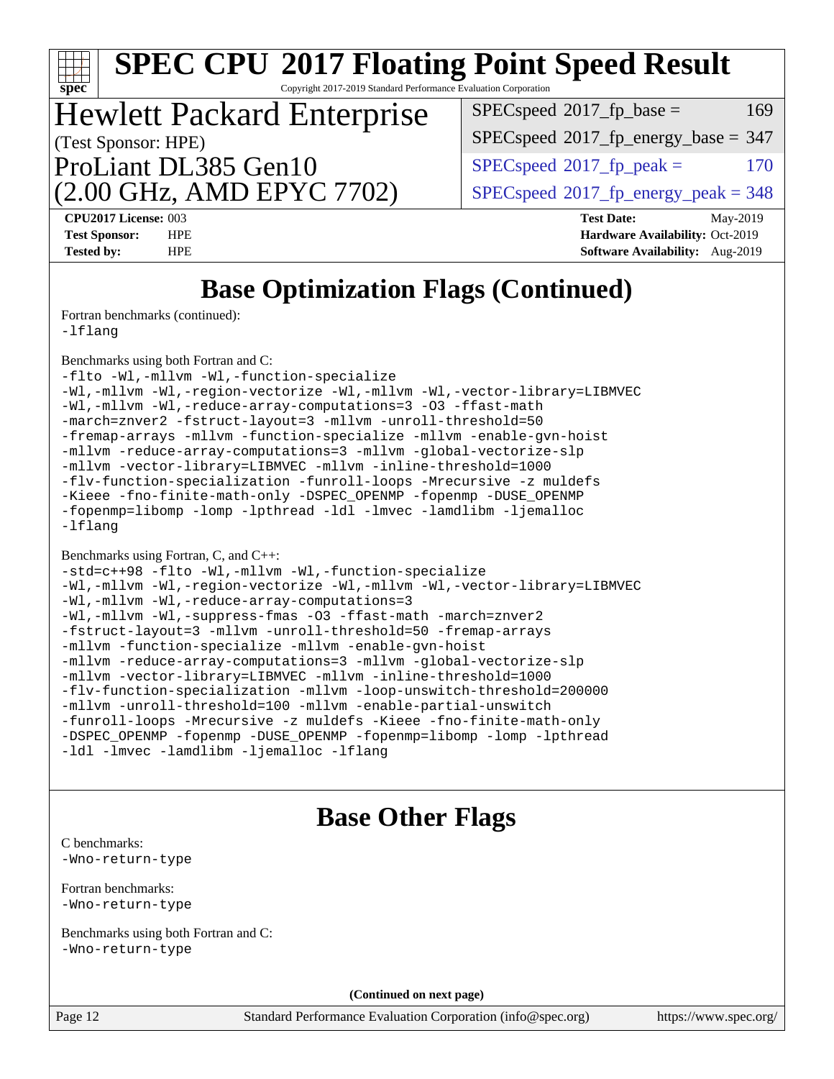| <b>SPEC CPU®2017 Floating Point Speed Result</b><br>Copyright 2017-2019 Standard Performance Evaluation Corporation<br>spec <sup>®</sup>                                                                                                                                                                                                                                                                                                                                                                                                                                                                                                                                                                                                                                                                                                                                           |                                                                                                     |  |  |  |  |  |
|------------------------------------------------------------------------------------------------------------------------------------------------------------------------------------------------------------------------------------------------------------------------------------------------------------------------------------------------------------------------------------------------------------------------------------------------------------------------------------------------------------------------------------------------------------------------------------------------------------------------------------------------------------------------------------------------------------------------------------------------------------------------------------------------------------------------------------------------------------------------------------|-----------------------------------------------------------------------------------------------------|--|--|--|--|--|
| <b>Hewlett Packard Enterprise</b>                                                                                                                                                                                                                                                                                                                                                                                                                                                                                                                                                                                                                                                                                                                                                                                                                                                  | $SPEC speed^{\circ}2017$ fp base =<br>169                                                           |  |  |  |  |  |
| (Test Sponsor: HPE)                                                                                                                                                                                                                                                                                                                                                                                                                                                                                                                                                                                                                                                                                                                                                                                                                                                                | $SPEC speed^{\circ}2017\_fp\_energy\_base = 347$                                                    |  |  |  |  |  |
| ProLiant DL385 Gen10                                                                                                                                                                                                                                                                                                                                                                                                                                                                                                                                                                                                                                                                                                                                                                                                                                                               | $SPEC speed^{\circ}2017$ fp peak =<br>170                                                           |  |  |  |  |  |
| (2.00 GHz, AMD EPYC 7702)                                                                                                                                                                                                                                                                                                                                                                                                                                                                                                                                                                                                                                                                                                                                                                                                                                                          | $SPEC speed^{\circ}2017\_fp\_energy\_peak = 348$                                                    |  |  |  |  |  |
| CPU2017 License: 003<br><b>Test Sponsor:</b><br><b>HPE</b><br><b>Tested by:</b><br><b>HPE</b>                                                                                                                                                                                                                                                                                                                                                                                                                                                                                                                                                                                                                                                                                                                                                                                      | <b>Test Date:</b><br>May-2019<br>Hardware Availability: Oct-2019<br>Software Availability: Aug-2019 |  |  |  |  |  |
| <b>Base Optimization Flags (Continued)</b>                                                                                                                                                                                                                                                                                                                                                                                                                                                                                                                                                                                                                                                                                                                                                                                                                                         |                                                                                                     |  |  |  |  |  |
| Fortran benchmarks (continued):<br>$-Iflang$                                                                                                                                                                                                                                                                                                                                                                                                                                                                                                                                                                                                                                                                                                                                                                                                                                       |                                                                                                     |  |  |  |  |  |
| Benchmarks using both Fortran and C:<br>-flto -Wl,-mllvm -Wl,-function-specialize<br>-Wl,-mllvm -Wl,-region-vectorize -Wl,-mllvm -Wl,-vector-library=LIBMVEC<br>-Wl,-mllvm -Wl,-reduce-array-computations=3 -03 -ffast-math<br>-march=znver2 -fstruct-layout=3 -mllvm -unroll-threshold=50<br>-fremap-arrays -mllvm -function-specialize -mllvm -enable-gvn-hoist<br>-mllvm -reduce-array-computations=3 -mllvm -global-vectorize-slp<br>-mllvm -vector-library=LIBMVEC -mllvm -inline-threshold=1000<br>-flv-function-specialization -funroll-loops -Mrecursive -z muldefs<br>-Kieee -fno-finite-math-only -DSPEC_OPENMP -fopenmp -DUSE_OPENMP<br>-fopenmp=libomp -lomp -lpthread -ldl -lmvec -lamdlibm -ljemalloc<br>$-Iflang$                                                                                                                                                   |                                                                                                     |  |  |  |  |  |
| Benchmarks using Fortran, C, and C++:<br>-std=c++98 -flto -Wl,-mllvm -Wl,-function-specialize<br>-Wl,-mllvm -Wl,-region-vectorize -Wl,-mllvm -Wl,-vector-library=LIBMVEC<br>-Wl,-mllvm -Wl,-reduce-array-computations=3<br>-Wl,-mllvm -Wl,-suppress-fmas -O3 -ffast-math -march=znver2<br>-fstruct-layout=3 -mllvm -unroll-threshold=50 -fremap-arrays<br>-mllvm -function-specialize -mllvm -enable-gvn-hoist<br>-mllvm -reduce-array-computations=3 -mllvm -global-vectorize-slp<br>-mllvm -vector-library=LIBMVEC -mllvm -inline-threshold=1000<br>-flv-function-specialization -mllvm -loop-unswitch-threshold=200000<br>-mllvm -unroll-threshold=100 -mllvm -enable-partial-unswitch<br>-funroll-loops -Mrecursive -z muldefs -Kieee -fno-finite-math-only<br>-DSPEC_OPENMP -fopenmp -DUSE_OPENMP -fopenmp=libomp -lomp -lpthread<br>-1dl -1mvec -1amdlibm -1jemalloc -1flang |                                                                                                     |  |  |  |  |  |
| <b>Base Other Flags</b><br>C benchmarks:                                                                                                                                                                                                                                                                                                                                                                                                                                                                                                                                                                                                                                                                                                                                                                                                                                           |                                                                                                     |  |  |  |  |  |
| -Wno-return-type                                                                                                                                                                                                                                                                                                                                                                                                                                                                                                                                                                                                                                                                                                                                                                                                                                                                   |                                                                                                     |  |  |  |  |  |
| Fortran benchmarks:<br>-Wno-return-type                                                                                                                                                                                                                                                                                                                                                                                                                                                                                                                                                                                                                                                                                                                                                                                                                                            |                                                                                                     |  |  |  |  |  |
| Benchmarks using both Fortran and C:<br>-Wno-return-type                                                                                                                                                                                                                                                                                                                                                                                                                                                                                                                                                                                                                                                                                                                                                                                                                           |                                                                                                     |  |  |  |  |  |
| (Continued on next page)                                                                                                                                                                                                                                                                                                                                                                                                                                                                                                                                                                                                                                                                                                                                                                                                                                                           |                                                                                                     |  |  |  |  |  |
| Page 12<br>Standard Performance Evaluation Corporation (info@spec.org)                                                                                                                                                                                                                                                                                                                                                                                                                                                                                                                                                                                                                                                                                                                                                                                                             | https://www.spec.org/                                                                               |  |  |  |  |  |
|                                                                                                                                                                                                                                                                                                                                                                                                                                                                                                                                                                                                                                                                                                                                                                                                                                                                                    |                                                                                                     |  |  |  |  |  |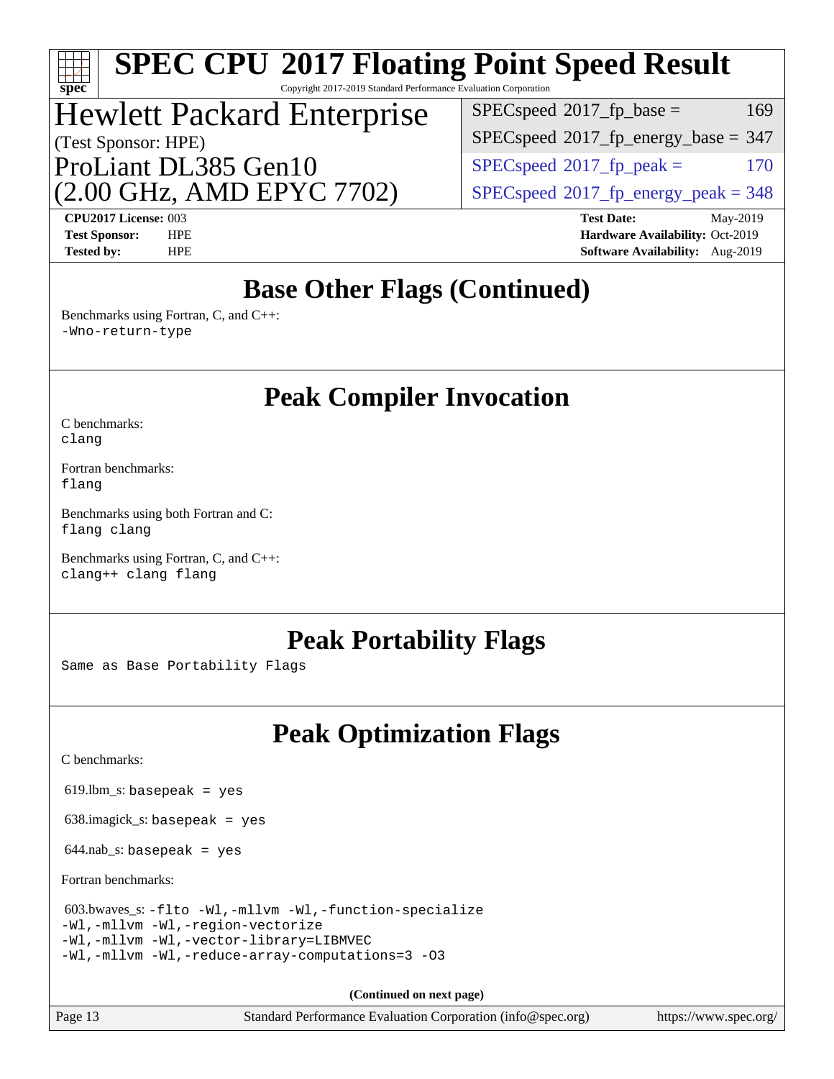### **[spec](http://www.spec.org/) [SPEC CPU](http://www.spec.org/auto/cpu2017/Docs/result-fields.html#SPECCPU2017FloatingPointSpeedResult)[2017 Floating Point Speed Result](http://www.spec.org/auto/cpu2017/Docs/result-fields.html#SPECCPU2017FloatingPointSpeedResult)** Copyright 2017-2019 Standard Performance Evaluation Corporation (Test Sponsor: HPE) Hewlett Packard Enterprise (2.00 GHz, AMD EPYC 7702) ProLiant DL385 Gen10  $SPEC speed<sup>®</sup>2017<sub>__</sub>fp<sub>__</sub>energy<sub>__</sub>peak = 348$  $SPEC speed^{\circ}2017\_fp\_peak =$  170  $SPEC speed$ <sup>®</sup> $2017$ \_fp\_energy\_base = 347  $SPEC speed^{\circ}2017\_fp\_base = 169$ **[CPU2017 License:](http://www.spec.org/auto/cpu2017/Docs/result-fields.html#CPU2017License)** 003 **[Test Date:](http://www.spec.org/auto/cpu2017/Docs/result-fields.html#TestDate)** May-2019 **[Test Sponsor:](http://www.spec.org/auto/cpu2017/Docs/result-fields.html#TestSponsor)** HPE **[Hardware Availability:](http://www.spec.org/auto/cpu2017/Docs/result-fields.html#HardwareAvailability)** Oct-2019 **[Tested by:](http://www.spec.org/auto/cpu2017/Docs/result-fields.html#Testedby)** HPE **[Software Availability:](http://www.spec.org/auto/cpu2017/Docs/result-fields.html#SoftwareAvailability)** Aug-2019 **[Base Other Flags \(Continued\)](http://www.spec.org/auto/cpu2017/Docs/result-fields.html#BaseOtherFlags)** [Benchmarks using Fortran, C, and C++:](http://www.spec.org/auto/cpu2017/Docs/result-fields.html#BenchmarksusingFortranCandCXX) [-Wno-return-type](http://www.spec.org/cpu2017/results/res2019q3/cpu2017-20190903-17795.flags.html#user_CC_CXX_FCbase_F-Waocc-no-return-type) **[Peak Compiler Invocation](http://www.spec.org/auto/cpu2017/Docs/result-fields.html#PeakCompilerInvocation)** [C benchmarks](http://www.spec.org/auto/cpu2017/Docs/result-fields.html#Cbenchmarks): [clang](http://www.spec.org/cpu2017/results/res2019q3/cpu2017-20190903-17795.flags.html#user_CCpeak_clang-c) [Fortran benchmarks](http://www.spec.org/auto/cpu2017/Docs/result-fields.html#Fortranbenchmarks): [flang](http://www.spec.org/cpu2017/results/res2019q3/cpu2017-20190903-17795.flags.html#user_FCpeak_flang) [Benchmarks using both Fortran and C](http://www.spec.org/auto/cpu2017/Docs/result-fields.html#BenchmarksusingbothFortranandC): [flang](http://www.spec.org/cpu2017/results/res2019q3/cpu2017-20190903-17795.flags.html#user_CC_FCpeak_flang) [clang](http://www.spec.org/cpu2017/results/res2019q3/cpu2017-20190903-17795.flags.html#user_CC_FCpeak_clang-c) [Benchmarks using Fortran, C, and C++:](http://www.spec.org/auto/cpu2017/Docs/result-fields.html#BenchmarksusingFortranCandCXX) [clang++](http://www.spec.org/cpu2017/results/res2019q3/cpu2017-20190903-17795.flags.html#user_CC_CXX_FCpeak_clang-cpp) [clang](http://www.spec.org/cpu2017/results/res2019q3/cpu2017-20190903-17795.flags.html#user_CC_CXX_FCpeak_clang-c) [flang](http://www.spec.org/cpu2017/results/res2019q3/cpu2017-20190903-17795.flags.html#user_CC_CXX_FCpeak_flang) **[Peak Portability Flags](http://www.spec.org/auto/cpu2017/Docs/result-fields.html#PeakPortabilityFlags)** Same as Base Portability Flags **[Peak Optimization Flags](http://www.spec.org/auto/cpu2017/Docs/result-fields.html#PeakOptimizationFlags)** [C benchmarks](http://www.spec.org/auto/cpu2017/Docs/result-fields.html#Cbenchmarks):  $619.$ lbm\_s: basepeak = yes  $638.$ imagick\_s: basepeak = yes  $644$ .nab\_s: basepeak = yes [Fortran benchmarks](http://www.spec.org/auto/cpu2017/Docs/result-fields.html#Fortranbenchmarks): 603.bwaves\_s: [-flto](http://www.spec.org/cpu2017/results/res2019q3/cpu2017-20190903-17795.flags.html#user_peakFOPTIMIZELDFLAGS603_bwaves_s_aocc-flto) [-Wl,-mllvm -Wl,-function-specialize](http://www.spec.org/cpu2017/results/res2019q3/cpu2017-20190903-17795.flags.html#user_peakLDFLAGS603_bwaves_s_F-function-specialize_7e7e661e57922243ee67c9a1251cb8910e607325179a0ce7f2884e09a6f5d4a5ef0ae4f37e8a2a11c95fc48e931f06dc2b6016f14b511fcb441e048bef1b065a) [-Wl,-mllvm -Wl,-region-vectorize](http://www.spec.org/cpu2017/results/res2019q3/cpu2017-20190903-17795.flags.html#user_peakLDFLAGS603_bwaves_s_F-region-vectorize_fb6c6b5aa293c88efc6c7c2b52b20755e943585b1fe8658c35afef78727fff56e1a56891413c30e36b8e2a6f9a71126986319243e80eb6110b78b288f533c52b) [-Wl,-mllvm -Wl,-vector-library=LIBMVEC](http://www.spec.org/cpu2017/results/res2019q3/cpu2017-20190903-17795.flags.html#user_peakLDFLAGS603_bwaves_s_F-use-vector-library_0a14b27fae317f283640384a31f7bfcc2bd4c1d0b5cfc618a3a430800c9b20217b00f61303eff223a3251b4f06ffbc9739dc5296db9d1fbb9ad24a3939d86d66) [-Wl,-mllvm -Wl,-reduce-array-computations=3](http://www.spec.org/cpu2017/results/res2019q3/cpu2017-20190903-17795.flags.html#user_peakLDFLAGS603_bwaves_s_F-reduce-array-computations_b882aefe7a5dda4e33149f6299762b9a720dace3e498e13756f4c04e5a19edf5315c1f3993de2e61ec41e8c206231f84e05da7040e1bb5d69ba27d10a12507e4) [-O3](http://www.spec.org/cpu2017/results/res2019q3/cpu2017-20190903-17795.flags.html#user_peakFOPTIMIZE603_bwaves_s_F-O3)

**(Continued on next page)**

Page 13 Standard Performance Evaluation Corporation [\(info@spec.org\)](mailto:info@spec.org) <https://www.spec.org/>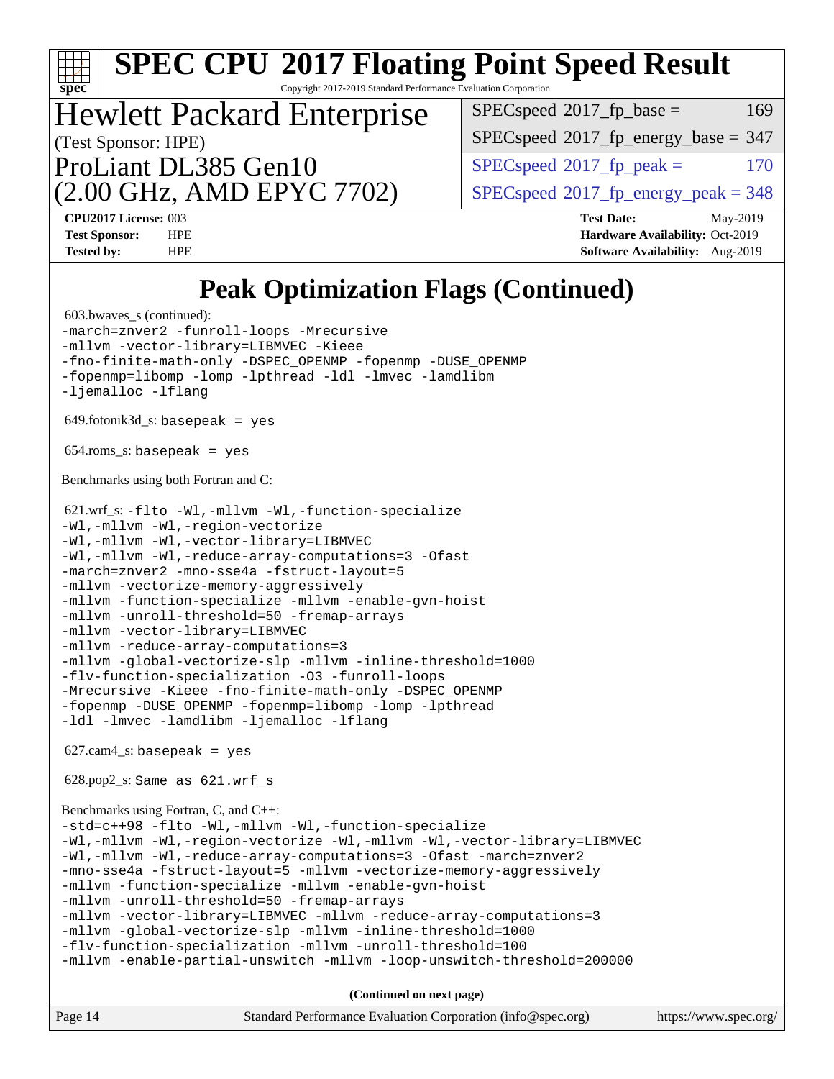| <b>SPEC CPU®2017 Floating Point Speed Result</b><br>Spec<br>Copyright 2017-2019 Standard Performance Evaluation Corporation                                                                                                                                                                                                                                                                                                                                                                                                                                                                                                                                                                                                                                                                                                                                                                                                                                                                                                                                                                                                                                                                                                                                                                                                                                                                                                                                                                                                                                                                                                                                                               |                                                    |  |  |  |  |  |
|-------------------------------------------------------------------------------------------------------------------------------------------------------------------------------------------------------------------------------------------------------------------------------------------------------------------------------------------------------------------------------------------------------------------------------------------------------------------------------------------------------------------------------------------------------------------------------------------------------------------------------------------------------------------------------------------------------------------------------------------------------------------------------------------------------------------------------------------------------------------------------------------------------------------------------------------------------------------------------------------------------------------------------------------------------------------------------------------------------------------------------------------------------------------------------------------------------------------------------------------------------------------------------------------------------------------------------------------------------------------------------------------------------------------------------------------------------------------------------------------------------------------------------------------------------------------------------------------------------------------------------------------------------------------------------------------|----------------------------------------------------|--|--|--|--|--|
|                                                                                                                                                                                                                                                                                                                                                                                                                                                                                                                                                                                                                                                                                                                                                                                                                                                                                                                                                                                                                                                                                                                                                                                                                                                                                                                                                                                                                                                                                                                                                                                                                                                                                           | $SPEC speed^{\circ}2017$ fp base =<br>169          |  |  |  |  |  |
| <b>Hewlett Packard Enterprise</b>                                                                                                                                                                                                                                                                                                                                                                                                                                                                                                                                                                                                                                                                                                                                                                                                                                                                                                                                                                                                                                                                                                                                                                                                                                                                                                                                                                                                                                                                                                                                                                                                                                                         | $SPEC speed^{\circ}2017\_fp\_energy\_base = 347$   |  |  |  |  |  |
| (Test Sponsor: HPE)<br>ProLiant DL385 Gen10                                                                                                                                                                                                                                                                                                                                                                                                                                                                                                                                                                                                                                                                                                                                                                                                                                                                                                                                                                                                                                                                                                                                                                                                                                                                                                                                                                                                                                                                                                                                                                                                                                               | $SPEC speed$ <sup>®</sup> $2017$ _fp_peak =<br>170 |  |  |  |  |  |
| (2.00 GHz, AMD EPYC 7702)                                                                                                                                                                                                                                                                                                                                                                                                                                                                                                                                                                                                                                                                                                                                                                                                                                                                                                                                                                                                                                                                                                                                                                                                                                                                                                                                                                                                                                                                                                                                                                                                                                                                 | $SPEC speed^{\circ}2017\_fp\_energy\_peak = 348$   |  |  |  |  |  |
| CPU2017 License: 003                                                                                                                                                                                                                                                                                                                                                                                                                                                                                                                                                                                                                                                                                                                                                                                                                                                                                                                                                                                                                                                                                                                                                                                                                                                                                                                                                                                                                                                                                                                                                                                                                                                                      | <b>Test Date:</b><br>May-2019                      |  |  |  |  |  |
| <b>Test Sponsor:</b><br><b>HPE</b>                                                                                                                                                                                                                                                                                                                                                                                                                                                                                                                                                                                                                                                                                                                                                                                                                                                                                                                                                                                                                                                                                                                                                                                                                                                                                                                                                                                                                                                                                                                                                                                                                                                        | <b>Hardware Availability: Oct-2019</b>             |  |  |  |  |  |
| <b>Tested by:</b><br><b>HPE</b>                                                                                                                                                                                                                                                                                                                                                                                                                                                                                                                                                                                                                                                                                                                                                                                                                                                                                                                                                                                                                                                                                                                                                                                                                                                                                                                                                                                                                                                                                                                                                                                                                                                           | Software Availability: Aug-2019                    |  |  |  |  |  |
| <b>Peak Optimization Flags (Continued)</b><br>603.bwaves_s (continued):<br>-march=znver2 -funroll-loops -Mrecursive<br>-mllvm -vector-library=LIBMVEC -Kieee<br>-fno-finite-math-only -DSPEC_OPENMP -fopenmp -DUSE_OPENMP<br>-fopenmp=libomp -lomp -lpthread -ldl -lmvec -lamdlibm<br>-ljemalloc -lflang<br>$649$ .fotonik $3d$ <sub>-</sub> s: basepeak = yes<br>$654$ .roms_s: basepeak = yes<br>Benchmarks using both Fortran and C:<br>621.wrf_s: -flto -Wl,-mllvm -Wl,-function-specialize<br>-Wl,-mllvm -Wl,-region-vectorize<br>-Wl,-mllvm -Wl,-vector-library=LIBMVEC<br>-Wl,-mllvm -Wl,-reduce-array-computations=3 -Ofast<br>-march=znver2 -mno-sse4a -fstruct-layout=5<br>-mllvm -vectorize-memory-aggressively<br>-mllvm -function-specialize -mllvm -enable-gvn-hoist<br>-mllvm -unroll-threshold=50 -fremap-arrays<br>-mllvm -vector-library=LIBMVEC<br>-mllvm -reduce-array-computations=3<br>-mllvm -global-vectorize-slp -mllvm -inline-threshold=1000<br>-flv-function-specialization -03 -funroll-loops<br>-Mrecursive -Kieee -fno-finite-math-only -DSPEC_OPENMP<br>-fopenmp -DUSE_OPENMP -fopenmp=libomp -lomp -lpthread<br>-1d1 -1mvec -1amdlibm -1jemalloc -1flang<br>$627.cam4_s$ : basepeak = yes<br>$628.pop2_s: Same as 621.wrf_s$<br>Benchmarks using Fortran, C, and C++:<br>-std=c++98 -flto -Wl,-mllvm -Wl,-function-specialize<br>-Wl,-mllvm -Wl,-region-vectorize -Wl,-mllvm -Wl,-vector-library=LIBMVEC<br>-Wl,-mllvm -Wl,-reduce-array-computations=3 -Ofast -march=znver2<br>-mno-sse4a -fstruct-layout=5 -mllvm -vectorize-memory-aggressively<br>-mllvm -function-specialize -mllvm -enable-gvn-hoist<br>-mllvm -unroll-threshold=50 -fremap-arrays |                                                    |  |  |  |  |  |
| -mllvm -enable-partial-unswitch -mllvm -loop-unswitch-threshold=200000                                                                                                                                                                                                                                                                                                                                                                                                                                                                                                                                                                                                                                                                                                                                                                                                                                                                                                                                                                                                                                                                                                                                                                                                                                                                                                                                                                                                                                                                                                                                                                                                                    |                                                    |  |  |  |  |  |
| (Continued on next page)<br>Page 14<br>Standard Performance Evaluation Corporation (info@spec.org)                                                                                                                                                                                                                                                                                                                                                                                                                                                                                                                                                                                                                                                                                                                                                                                                                                                                                                                                                                                                                                                                                                                                                                                                                                                                                                                                                                                                                                                                                                                                                                                        | https://www.spec.org/                              |  |  |  |  |  |